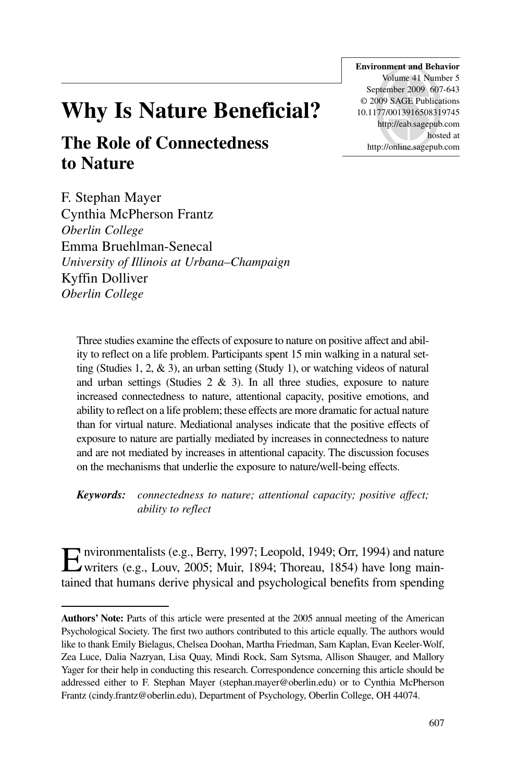# **Why Is Nature Beneficial?**

## **The Role of Connectedness to Nature**

**Environment and Behavior** Volume 41 Number 5 September 2009 607-643 © 2009 SAGE Publications 10.1177/0013916508319745 http://eab.sagepub.com hosted at http://online.sagepub.com

F. Stephan Mayer Cynthia McPherson Frantz *Oberlin College* Emma Bruehlman-Senecal *University of Illinois at Urbana–Champaign* Kyffin Dolliver *Oberlin College*

Three studies examine the effects of exposure to nature on positive affect and ability to reflect on a life problem. Participants spent 15 min walking in a natural setting (Studies 1, 2, & 3), an urban setting (Study 1), or watching videos of natural and urban settings (Studies  $2 \& 3$ ). In all three studies, exposure to nature increased connectedness to nature, attentional capacity, positive emotions, and ability to reflect on a life problem; these effects are more dramatic for actual nature than for virtual nature. Mediational analyses indicate that the positive effects of exposure to nature are partially mediated by increases in connectedness to nature and are not mediated by increases in attentional capacity. The discussion focuses on the mechanisms that underlie the exposure to nature/well-being effects.

*Keywords: connectedness to nature; attentional capacity; positive affect; ability to reflect*

Environmentalists (e.g., Berry, 1997; Leopold, 1949; Orr, 1994) and nature writers (e.g., Louv, 2005; Muir, 1894; Thoreau, 1854) have long maintained that humans derive physical and psychological benefits from spending

**Authors' Note:** Parts of this article were presented at the 2005 annual meeting of the American Psychological Society. The first two authors contributed to this article equally. The authors would like to thank Emily Bielagus, Chelsea Doohan, Martha Friedman, Sam Kaplan, Evan Keeler-Wolf, Zea Luce, Dalia Nazryan, Lisa Quay, Mindi Rock, Sam Sytsma, Allison Shauger, and Mallory Yager for their help in conducting this research. Correspondence concerning this article should be addressed either to F. Stephan Mayer (stephan.mayer@oberlin.edu) or to Cynthia McPherson Frantz (cindy.frantz@oberlin.edu), Department of Psychology, Oberlin College, OH 44074.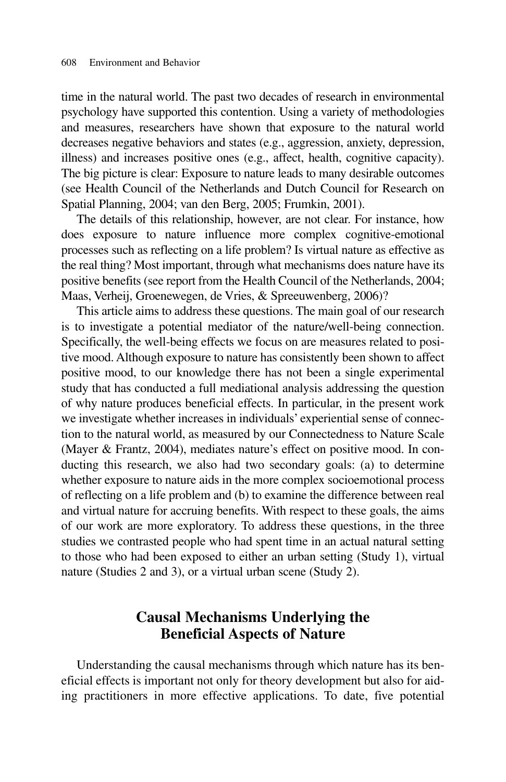time in the natural world. The past two decades of research in environmental psychology have supported this contention. Using a variety of methodologies and measures, researchers have shown that exposure to the natural world decreases negative behaviors and states (e.g., aggression, anxiety, depression, illness) and increases positive ones (e.g., affect, health, cognitive capacity). The big picture is clear: Exposure to nature leads to many desirable outcomes (see Health Council of the Netherlands and Dutch Council for Research on Spatial Planning, 2004; van den Berg, 2005; Frumkin, 2001).

The details of this relationship, however, are not clear. For instance, how does exposure to nature influence more complex cognitive-emotional processes such as reflecting on a life problem? Is virtual nature as effective as the real thing? Most important, through what mechanisms does nature have its positive benefits (see report from the Health Council of the Netherlands, 2004; Maas, Verheij, Groenewegen, de Vries, & Spreeuwenberg, 2006)?

This article aims to address these questions. The main goal of our research is to investigate a potential mediator of the nature/well-being connection. Specifically, the well-being effects we focus on are measures related to positive mood. Although exposure to nature has consistently been shown to affect positive mood, to our knowledge there has not been a single experimental study that has conducted a full mediational analysis addressing the question of why nature produces beneficial effects. In particular, in the present work we investigate whether increases in individuals' experiential sense of connection to the natural world, as measured by our Connectedness to Nature Scale (Mayer & Frantz, 2004), mediates nature's effect on positive mood. In conducting this research, we also had two secondary goals: (a) to determine whether exposure to nature aids in the more complex socioemotional process of reflecting on a life problem and (b) to examine the difference between real and virtual nature for accruing benefits. With respect to these goals, the aims of our work are more exploratory. To address these questions, in the three studies we contrasted people who had spent time in an actual natural setting to those who had been exposed to either an urban setting (Study 1), virtual nature (Studies 2 and 3), or a virtual urban scene (Study 2).

## **Causal Mechanisms Underlying the Beneficial Aspects of Nature**

Understanding the causal mechanisms through which nature has its beneficial effects is important not only for theory development but also for aiding practitioners in more effective applications. To date, five potential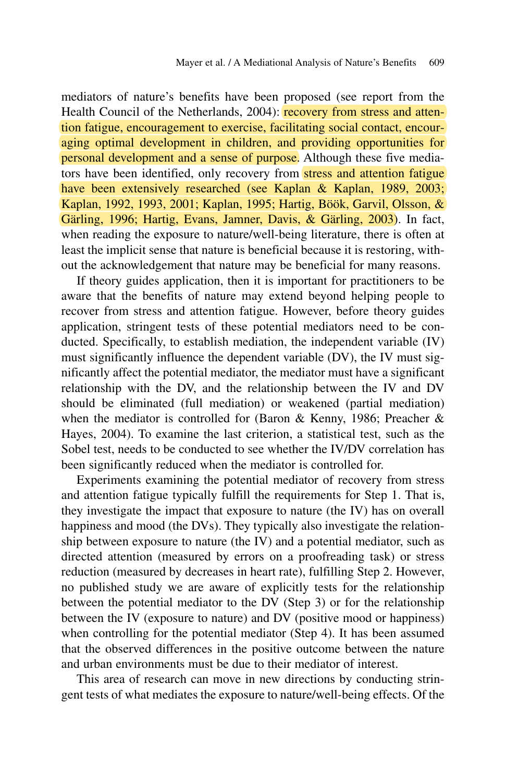mediators of nature's benefits have been proposed (see report from the Health Council of the Netherlands, 2004): **recovery from stress and atten**tion fatigue, encouragement to exercise, facilitating social contact, encouraging optimal development in children, and providing opportunities for personal development and a sense of purpose. Although these five mediators have been identified, only recovery from stress and attention fatigue have been extensively researched (see Kaplan & Kaplan, 1989, 2003; Kaplan, 1992, 1993, 2001; Kaplan, 1995; Hartig, Böök, Garvil, Olsson, & Gärling, 1996; Hartig, Evans, Jamner, Davis, & Gärling, 2003). In fact, when reading the exposure to nature/well-being literature, there is often at least the implicit sense that nature is beneficial because it is restoring, without the acknowledgement that nature may be beneficial for many reasons.

If theory guides application, then it is important for practitioners to be aware that the benefits of nature may extend beyond helping people to recover from stress and attention fatigue. However, before theory guides application, stringent tests of these potential mediators need to be conducted. Specifically, to establish mediation, the independent variable (IV) must significantly influence the dependent variable (DV), the IV must significantly affect the potential mediator, the mediator must have a significant relationship with the DV, and the relationship between the IV and DV should be eliminated (full mediation) or weakened (partial mediation) when the mediator is controlled for (Baron & Kenny, 1986; Preacher & Hayes, 2004). To examine the last criterion, a statistical test, such as the Sobel test, needs to be conducted to see whether the IV/DV correlation has been significantly reduced when the mediator is controlled for.

Experiments examining the potential mediator of recovery from stress and attention fatigue typically fulfill the requirements for Step 1. That is, they investigate the impact that exposure to nature (the IV) has on overall happiness and mood (the DVs). They typically also investigate the relationship between exposure to nature (the IV) and a potential mediator, such as directed attention (measured by errors on a proofreading task) or stress reduction (measured by decreases in heart rate), fulfilling Step 2. However, no published study we are aware of explicitly tests for the relationship between the potential mediator to the DV (Step 3) or for the relationship between the IV (exposure to nature) and DV (positive mood or happiness) when controlling for the potential mediator (Step 4). It has been assumed that the observed differences in the positive outcome between the nature and urban environments must be due to their mediator of interest.

This area of research can move in new directions by conducting stringent tests of what mediates the exposure to nature/well-being effects. Of the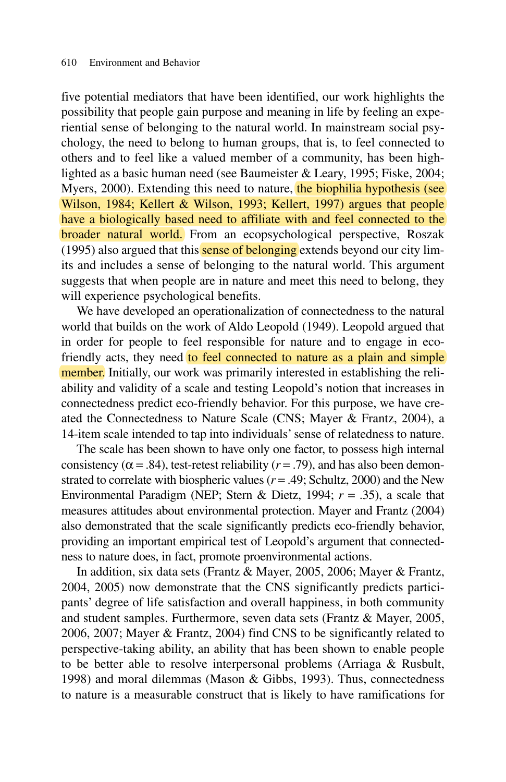five potential mediators that have been identified, our work highlights the possibility that people gain purpose and meaning in life by feeling an experiential sense of belonging to the natural world. In mainstream social psychology, the need to belong to human groups, that is, to feel connected to others and to feel like a valued member of a community, has been highlighted as a basic human need (see Baumeister & Leary, 1995; Fiske, 2004; Myers, 2000). Extending this need to nature, the biophilia hypothesis (see Wilson, 1984; Kellert & Wilson, 1993; Kellert, 1997) argues that people have a biologically based need to affiliate with and feel connected to the broader natural world. From an ecopsychological perspective, Roszak (1995) also argued that this sense of belonging extends beyond our city limits and includes a sense of belonging to the natural world. This argument suggests that when people are in nature and meet this need to belong, they will experience psychological benefits.

We have developed an operationalization of connectedness to the natural world that builds on the work of Aldo Leopold (1949). Leopold argued that in order for people to feel responsible for nature and to engage in ecofriendly acts, they need to feel connected to nature as a plain and simple member. Initially, our work was primarily interested in establishing the reliability and validity of a scale and testing Leopold's notion that increases in connectedness predict eco-friendly behavior. For this purpose, we have created the Connectedness to Nature Scale (CNS; Mayer & Frantz, 2004), a 14-item scale intended to tap into individuals' sense of relatedness to nature.

The scale has been shown to have only one factor, to possess high internal consistency ( $\alpha$  = .84), test-retest reliability ( $r$  = .79), and has also been demonstrated to correlate with biospheric values ( $r = .49$ ; Schultz, 2000) and the New Environmental Paradigm (NEP; Stern & Dietz, 1994; *r* = .35), a scale that measures attitudes about environmental protection. Mayer and Frantz (2004) also demonstrated that the scale significantly predicts eco-friendly behavior, providing an important empirical test of Leopold's argument that connectedness to nature does, in fact, promote proenvironmental actions.

In addition, six data sets (Frantz & Mayer, 2005, 2006; Mayer & Frantz, 2004, 2005) now demonstrate that the CNS significantly predicts participants' degree of life satisfaction and overall happiness, in both community and student samples. Furthermore, seven data sets (Frantz & Mayer, 2005, 2006, 2007; Mayer & Frantz, 2004) find CNS to be significantly related to perspective-taking ability, an ability that has been shown to enable people to be better able to resolve interpersonal problems (Arriaga & Rusbult, 1998) and moral dilemmas (Mason & Gibbs, 1993). Thus, connectedness to nature is a measurable construct that is likely to have ramifications for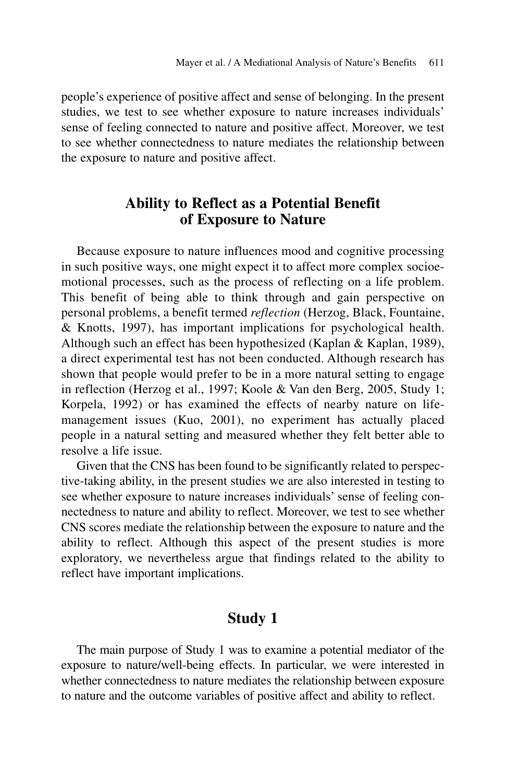people's experience of positive affect and sense of belonging. In the present studies, we test to see whether exposure to nature increases individuals' sense of feeling connected to nature and positive affect. Moreover, we test to see whether connectedness to nature mediates the relationship between the exposure to nature and positive affect.

## **Ability to Reflect as a Potential Benefit of Exposure to Nature**

Because exposure to nature influences mood and cognitive processing in such positive ways, one might expect it to affect more complex socioemotional processes, such as the process of reflecting on a life problem. This benefit of being able to think through and gain perspective on personal problems, a benefit termed *reflection* (Herzog, Black, Fountaine, & Knotts, 1997), has important implications for psychological health. Although such an effect has been hypothesized (Kaplan & Kaplan, 1989), a direct experimental test has not been conducted. Although research has shown that people would prefer to be in a more natural setting to engage in reflection (Herzog et al., 1997; Koole & Van den Berg, 2005, Study 1; Korpela, 1992) or has examined the effects of nearby nature on lifemanagement issues (Kuo, 2001), no experiment has actually placed people in a natural setting and measured whether they felt better able to resolve a life issue.

Given that the CNS has been found to be significantly related to perspective-taking ability, in the present studies we are also interested in testing to see whether exposure to nature increases individuals' sense of feeling connectedness to nature and ability to reflect. Moreover, we test to see whether CNS scores mediate the relationship between the exposure to nature and the ability to reflect. Although this aspect of the present studies is more exploratory, we nevertheless argue that findings related to the ability to reflect have important implications.

## **Study 1**

The main purpose of Study 1 was to examine a potential mediator of the exposure to nature/well-being effects. In particular, we were interested in whether connectedness to nature mediates the relationship between exposure to nature and the outcome variables of positive affect and ability to reflect.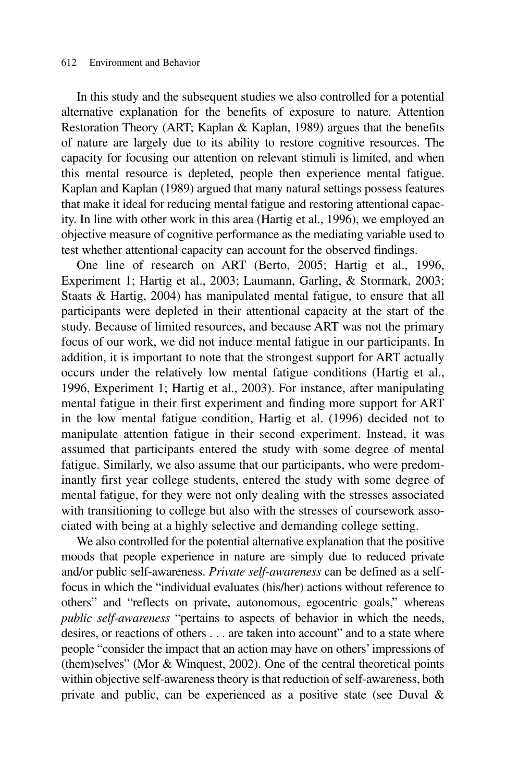In this study and the subsequent studies we also controlled for a potential alternative explanation for the benefits of exposure to nature. Attention Restoration Theory (ART; Kaplan & Kaplan, 1989) argues that the benefits of nature are largely due to its ability to restore cognitive resources. The capacity for focusing our attention on relevant stimuli is limited, and when this mental resource is depleted, people then experience mental fatigue. Kaplan and Kaplan (1989) argued that many natural settings possess features that make it ideal for reducing mental fatigue and restoring attentional capacity. In line with other work in this area (Hartig et al., 1996), we employed an objective measure of cognitive performance as the mediating variable used to test whether attentional capacity can account for the observed findings.

One line of research on ART (Berto, 2005; Hartig et al., 1996, Experiment 1; Hartig et al., 2003; Laumann, Garling, & Stormark, 2003; Staats & Hartig, 2004) has manipulated mental fatigue, to ensure that all participants were depleted in their attentional capacity at the start of the study. Because of limited resources, and because ART was not the primary focus of our work, we did not induce mental fatigue in our participants. In addition, it is important to note that the strongest support for ART actually occurs under the relatively low mental fatigue conditions (Hartig et al., 1996, Experiment 1; Hartig et al., 2003). For instance, after manipulating mental fatigue in their first experiment and finding more support for ART in the low mental fatigue condition, Hartig et al. (1996) decided not to manipulate attention fatigue in their second experiment. Instead, it was assumed that participants entered the study with some degree of mental fatigue. Similarly, we also assume that our participants, who were predominantly first year college students, entered the study with some degree of mental fatigue, for they were not only dealing with the stresses associated with transitioning to college but also with the stresses of coursework associated with being at a highly selective and demanding college setting.

We also controlled for the potential alternative explanation that the positive moods that people experience in nature are simply due to reduced private and/or public self-awareness. *Private self-awareness* can be defined as a selffocus in which the "individual evaluates (his/her) actions without reference to others" and "reflects on private, autonomous, egocentric goals," whereas *public self-awareness* "pertains to aspects of behavior in which the needs, desires, or reactions of others . . . are taken into account" and to a state where people "consider the impact that an action may have on others' impressions of (them)selves" (Mor & Winquest, 2002). One of the central theoretical points within objective self-awareness theory is that reduction of self-awareness, both private and public, can be experienced as a positive state (see Duval &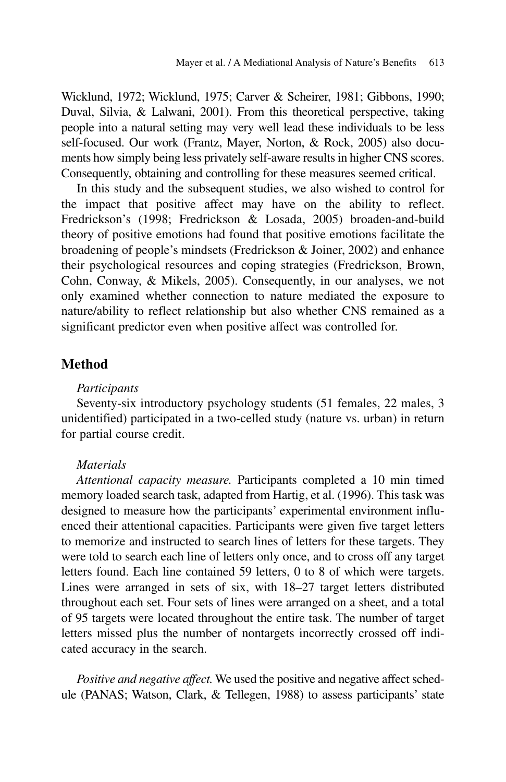Wicklund, 1972; Wicklund, 1975; Carver & Scheirer, 1981; Gibbons, 1990; Duval, Silvia, & Lalwani, 2001). From this theoretical perspective, taking people into a natural setting may very well lead these individuals to be less self-focused. Our work (Frantz, Mayer, Norton, & Rock, 2005) also documents how simply being less privately self-aware results in higher CNS scores. Consequently, obtaining and controlling for these measures seemed critical.

In this study and the subsequent studies, we also wished to control for the impact that positive affect may have on the ability to reflect. Fredrickson's (1998; Fredrickson & Losada, 2005) broaden-and-build theory of positive emotions had found that positive emotions facilitate the broadening of people's mindsets (Fredrickson & Joiner, 2002) and enhance their psychological resources and coping strategies (Fredrickson, Brown, Cohn, Conway, & Mikels, 2005). Consequently, in our analyses, we not only examined whether connection to nature mediated the exposure to nature/ability to reflect relationship but also whether CNS remained as a significant predictor even when positive affect was controlled for.

## **Method**

#### *Participants*

Seventy-six introductory psychology students (51 females, 22 males, 3 unidentified) participated in a two-celled study (nature vs. urban) in return for partial course credit.

#### *Materials*

*Attentional capacity measure.* Participants completed a 10 min timed memory loaded search task, adapted from Hartig, et al. (1996). This task was designed to measure how the participants' experimental environment influenced their attentional capacities. Participants were given five target letters to memorize and instructed to search lines of letters for these targets. They were told to search each line of letters only once, and to cross off any target letters found. Each line contained 59 letters, 0 to 8 of which were targets. Lines were arranged in sets of six, with 18–27 target letters distributed throughout each set. Four sets of lines were arranged on a sheet, and a total of 95 targets were located throughout the entire task. The number of target letters missed plus the number of nontargets incorrectly crossed off indicated accuracy in the search.

*Positive and negative affect.* We used the positive and negative affect schedule (PANAS; Watson, Clark, & Tellegen, 1988) to assess participants' state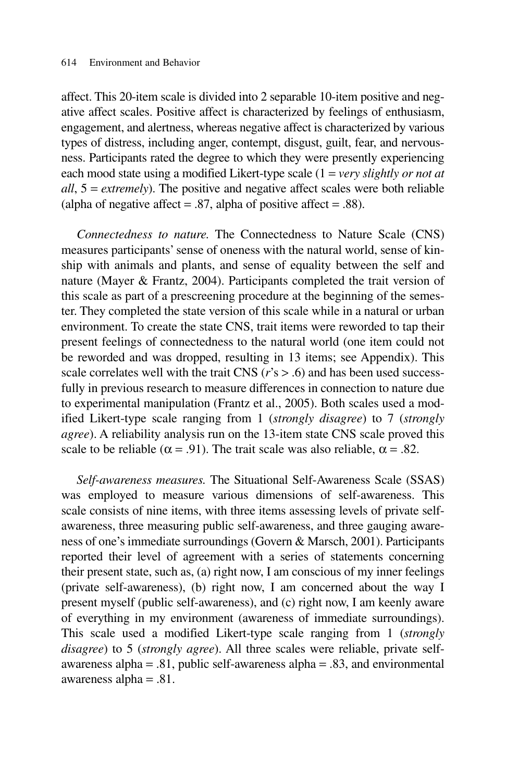affect. This 20-item scale is divided into 2 separable 10-item positive and negative affect scales. Positive affect is characterized by feelings of enthusiasm, engagement, and alertness, whereas negative affect is characterized by various types of distress, including anger, contempt, disgust, guilt, fear, and nervousness. Participants rated the degree to which they were presently experiencing each mood state using a modified Likert-type scale (1 = *very slightly or not at all*, 5 = *extremely*). The positive and negative affect scales were both reliable (alpha of negative affect  $= .87$ , alpha of positive affect  $= .88$ ).

*Connectedness to nature.* The Connectedness to Nature Scale (CNS) measures participants' sense of oneness with the natural world, sense of kinship with animals and plants, and sense of equality between the self and nature (Mayer & Frantz, 2004). Participants completed the trait version of this scale as part of a prescreening procedure at the beginning of the semester. They completed the state version of this scale while in a natural or urban environment. To create the state CNS, trait items were reworded to tap their present feelings of connectedness to the natural world (one item could not be reworded and was dropped, resulting in 13 items; see Appendix). This scale correlates well with the trait CNS ( $r$ 's  $> 0.6$ ) and has been used successfully in previous research to measure differences in connection to nature due to experimental manipulation (Frantz et al., 2005). Both scales used a modified Likert-type scale ranging from 1 (*strongly disagree*) to 7 (*strongly agree*). A reliability analysis run on the 13-item state CNS scale proved this scale to be reliable ( $\alpha$  = .91). The trait scale was also reliable,  $\alpha$  = .82.

*Self-awareness measures.* The Situational Self-Awareness Scale (SSAS) was employed to measure various dimensions of self-awareness. This scale consists of nine items, with three items assessing levels of private selfawareness, three measuring public self-awareness, and three gauging awareness of one's immediate surroundings (Govern & Marsch, 2001). Participants reported their level of agreement with a series of statements concerning their present state, such as, (a) right now, I am conscious of my inner feelings (private self-awareness), (b) right now, I am concerned about the way I present myself (public self-awareness), and (c) right now, I am keenly aware of everything in my environment (awareness of immediate surroundings). This scale used a modified Likert-type scale ranging from 1 (*strongly disagree*) to 5 (*strongly agree*). All three scales were reliable, private selfawareness alpha = .81, public self-awareness alpha = .83, and environmental awareness alpha = .81.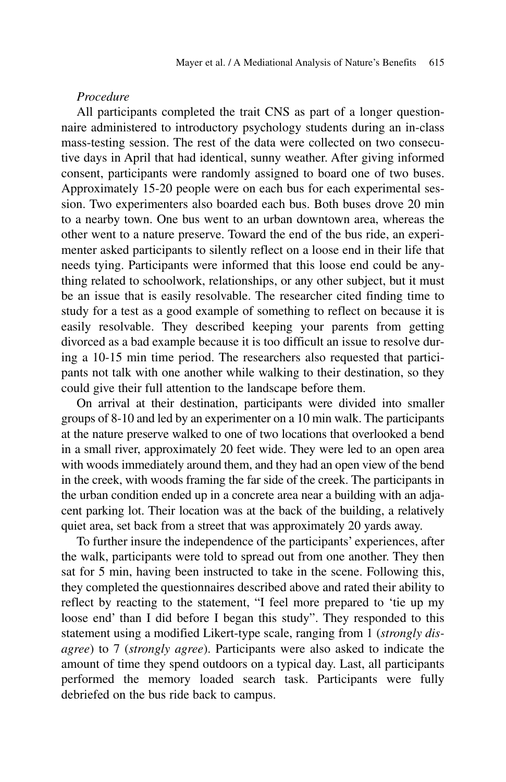## *Procedure*

All participants completed the trait CNS as part of a longer questionnaire administered to introductory psychology students during an in-class mass-testing session. The rest of the data were collected on two consecutive days in April that had identical, sunny weather. After giving informed consent, participants were randomly assigned to board one of two buses. Approximately 15-20 people were on each bus for each experimental session. Two experimenters also boarded each bus. Both buses drove 20 min to a nearby town. One bus went to an urban downtown area, whereas the other went to a nature preserve. Toward the end of the bus ride, an experimenter asked participants to silently reflect on a loose end in their life that needs tying. Participants were informed that this loose end could be anything related to schoolwork, relationships, or any other subject, but it must be an issue that is easily resolvable. The researcher cited finding time to study for a test as a good example of something to reflect on because it is easily resolvable. They described keeping your parents from getting divorced as a bad example because it is too difficult an issue to resolve during a 10-15 min time period. The researchers also requested that participants not talk with one another while walking to their destination, so they could give their full attention to the landscape before them.

On arrival at their destination, participants were divided into smaller groups of 8-10 and led by an experimenter on a 10 min walk. The participants at the nature preserve walked to one of two locations that overlooked a bend in a small river, approximately 20 feet wide. They were led to an open area with woods immediately around them, and they had an open view of the bend in the creek, with woods framing the far side of the creek. The participants in the urban condition ended up in a concrete area near a building with an adjacent parking lot. Their location was at the back of the building, a relatively quiet area, set back from a street that was approximately 20 yards away.

To further insure the independence of the participants' experiences, after the walk, participants were told to spread out from one another. They then sat for 5 min, having been instructed to take in the scene. Following this, they completed the questionnaires described above and rated their ability to reflect by reacting to the statement, "I feel more prepared to 'tie up my loose end' than I did before I began this study". They responded to this statement using a modified Likert-type scale, ranging from 1 (*strongly disagree*) to 7 (*strongly agree*). Participants were also asked to indicate the amount of time they spend outdoors on a typical day. Last, all participants performed the memory loaded search task. Participants were fully debriefed on the bus ride back to campus.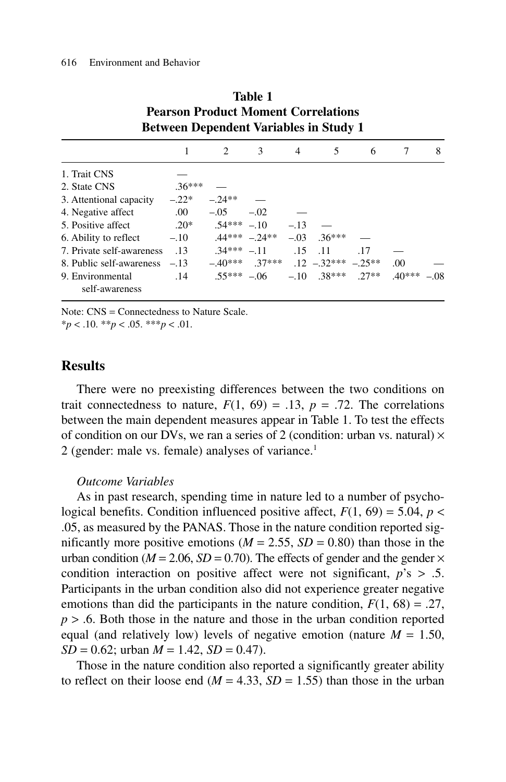| Detween Dependent variables in Study 1 |          |          |                                        |        |                       |     |                  |        |  |
|----------------------------------------|----------|----------|----------------------------------------|--------|-----------------------|-----|------------------|--------|--|
|                                        |          | 2        | 3                                      | 4      | 5                     | 6   | 7                | 8      |  |
| 1. Trait CNS                           |          |          |                                        |        |                       |     |                  |        |  |
| 2. State CNS                           | $.36***$ |          |                                        |        |                       |     |                  |        |  |
| 3. Attentional capacity                | $-.22*$  | $-.24**$ |                                        |        |                       |     |                  |        |  |
| 4. Negative affect                     | .00.     | $-.05$   | $-.02$                                 |        |                       |     |                  |        |  |
| 5. Positive affect                     | $.20*$   |          | $.54*** - .10$                         | $-.13$ |                       |     |                  |        |  |
| 6. Ability to reflect                  | $-.10$   |          | $44***$ $-24**$                        |        | $-.03 \t .36***$      |     |                  |        |  |
| 7. Private self-awareness              | .13      |          | $.34*** - .11$                         | .15    | .11                   | .17 |                  |        |  |
| 8. Public self-awareness               | $-.13$   |          | $-40***$ $37***$ $12$ $-32***$ $-25**$ |        |                       |     | .00 <sub>1</sub> |        |  |
| 9. Environmental<br>self-awareness     | .14      |          | $.55*** -06$                           |        | $-10$ $38***$ $.27**$ |     | $.40***$         | $-.08$ |  |

| Table 1                                       |
|-----------------------------------------------|
| <b>Pearson Product Moment Correlations</b>    |
| <b>Between Dependent Variables in Study 1</b> |

Note: CNS = Connectedness to Nature Scale.

\**p* < .10. \*\**p* < .05. \*\*\**p* < .01.

#### **Results**

There were no preexisting differences between the two conditions on trait connectedness to nature,  $F(1, 69) = .13$ ,  $p = .72$ . The correlations between the main dependent measures appear in Table 1. To test the effects of condition on our DVs, we ran a series of 2 (condition: urban vs. natural)  $\times$ 2 (gender: male vs. female) analyses of variance.<sup>1</sup>

#### *Outcome Variables*

As in past research, spending time in nature led to a number of psychological benefits. Condition influenced positive affect,  $F(1, 69) = 5.04$ ,  $p <$ .05, as measured by the PANAS. Those in the nature condition reported significantly more positive emotions ( $M = 2.55$ ,  $SD = 0.80$ ) than those in the urban condition ( $M = 2.06$ ,  $SD = 0.70$ ). The effects of gender and the gender  $\times$ condition interaction on positive affect were not significant, *p*'s > .5. Participants in the urban condition also did not experience greater negative emotions than did the participants in the nature condition,  $F(1, 68) = .27$ , *p* > .6. Both those in the nature and those in the urban condition reported equal (and relatively low) levels of negative emotion (nature  $M = 1.50$ ,  $SD = 0.62$ ; urban  $M = 1.42$ ,  $SD = 0.47$ ).

Those in the nature condition also reported a significantly greater ability to reflect on their loose end ( $M = 4.33$ ,  $SD = 1.55$ ) than those in the urban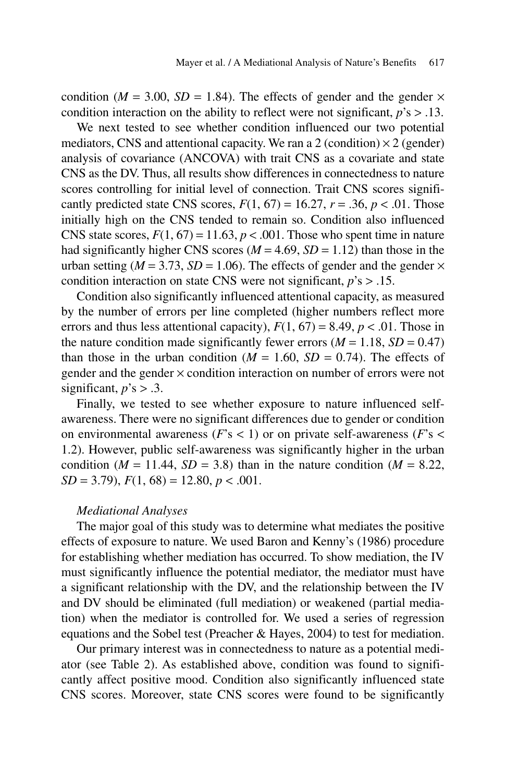condition ( $M = 3.00$ ,  $SD = 1.84$ ). The effects of gender and the gender  $\times$ condition interaction on the ability to reflect were not significant, *p*'s > .13.

We next tested to see whether condition influenced our two potential mediators, CNS and attentional capacity. We ran a 2 (condition)  $\times$  2 (gender) analysis of covariance (ANCOVA) with trait CNS as a covariate and state CNS as the DV. Thus, all results show differences in connectedness to nature scores controlling for initial level of connection. Trait CNS scores significantly predicted state CNS scores,  $F(1, 67) = 16.27$ ,  $r = .36$ ,  $p < .01$ . Those initially high on the CNS tended to remain so. Condition also influenced CNS state scores,  $F(1, 67) = 11.63$ ,  $p < .001$ . Those who spent time in nature had significantly higher CNS scores ( $M = 4.69$ ,  $SD = 1.12$ ) than those in the urban setting ( $M = 3.73$ ,  $SD = 1.06$ ). The effects of gender and the gender  $\times$ condition interaction on state CNS were not significant, *p*'s > .15.

Condition also significantly influenced attentional capacity, as measured by the number of errors per line completed (higher numbers reflect more errors and thus less attentional capacity),  $F(1, 67) = 8.49$ ,  $p < .01$ . Those in the nature condition made significantly fewer errors  $(M = 1.18, SD = 0.47)$ than those in the urban condition ( $M = 1.60$ ,  $SD = 0.74$ ). The effects of gender and the gender × condition interaction on number of errors were not significant,  $p$ 's > .3.

Finally, we tested to see whether exposure to nature influenced selfawareness. There were no significant differences due to gender or condition on environmental awareness ( $F$ 's < 1) or on private self-awareness ( $F$ 's < 1.2). However, public self-awareness was significantly higher in the urban condition ( $M = 11.44$ ,  $SD = 3.8$ ) than in the nature condition ( $M = 8.22$ ,  $SD = 3.79$ ,  $F(1, 68) = 12.80, p < .001$ .

#### *Mediational Analyses*

The major goal of this study was to determine what mediates the positive effects of exposure to nature. We used Baron and Kenny's (1986) procedure for establishing whether mediation has occurred. To show mediation, the IV must significantly influence the potential mediator, the mediator must have a significant relationship with the DV, and the relationship between the IV and DV should be eliminated (full mediation) or weakened (partial mediation) when the mediator is controlled for. We used a series of regression equations and the Sobel test (Preacher & Hayes, 2004) to test for mediation.

Our primary interest was in connectedness to nature as a potential mediator (see Table 2). As established above, condition was found to significantly affect positive mood. Condition also significantly influenced state CNS scores. Moreover, state CNS scores were found to be significantly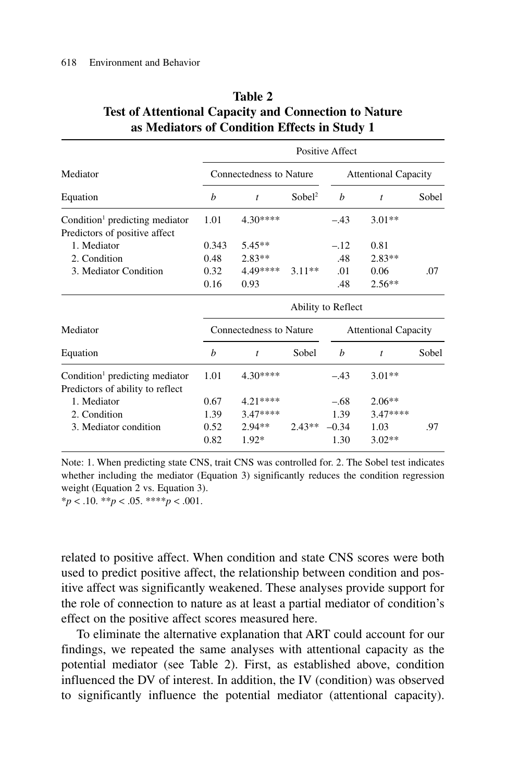|                                                                                | Positive Affect |                         |                    |                             |                             |       |  |  |
|--------------------------------------------------------------------------------|-----------------|-------------------------|--------------------|-----------------------------|-----------------------------|-------|--|--|
| Mediator                                                                       |                 | Connectedness to Nature |                    | <b>Attentional Capacity</b> |                             |       |  |  |
| Equation                                                                       | b               | $\mathfrak{t}$          | Sobel <sup>2</sup> | $\boldsymbol{b}$            | $\boldsymbol{t}$            | Sobel |  |  |
| Condition <sup>1</sup> predicting mediator                                     | 1.01            | $4.30***$               |                    | $-.43$                      | $3.01**$                    |       |  |  |
| Predictors of positive affect                                                  |                 |                         |                    |                             |                             |       |  |  |
| 1. Mediator                                                                    | 0.343           | $5.45**$                |                    | $-.12$                      | 0.81                        |       |  |  |
| 2. Condition                                                                   | 0.48            | $2.83**$                |                    | .48                         | $2.83**$                    |       |  |  |
| 3. Mediator Condition                                                          | 0.32            | 4.49****                | $3.11**$           | .01                         | 0.06                        | .07   |  |  |
|                                                                                | 0.16            | 0.93                    |                    | .48                         | $2.56**$                    |       |  |  |
|                                                                                |                 |                         |                    | Ability to Reflect          |                             |       |  |  |
| Mediator                                                                       |                 | Connectedness to Nature |                    |                             | <b>Attentional Capacity</b> |       |  |  |
| Equation                                                                       | b               | t                       | Sobel              | b                           | t                           | Sobel |  |  |
| Condition <sup>1</sup> predicting mediator<br>Predictors of ability to reflect | 1.01            | 4.30****                |                    | $-.43$                      | $3.01**$                    |       |  |  |
| 1. Mediator                                                                    | 0.67            | 4.21 ****               |                    | $-.68$                      | $2.06**$                    |       |  |  |
| 2. Condition                                                                   | 1.39            | $3.47***$               |                    | 1.39                        | $3.47***$                   |       |  |  |
| 3. Mediator condition                                                          | 0.52            | $2.94**$                | $2.43**$           | $-0.34$                     | 1.03                        | .97   |  |  |
|                                                                                | 0.82            | $1.92*$                 |                    | 1.30                        | $3.02**$                    |       |  |  |

## **Table 2 Test of Attentional Capacity and Connection to Nature as Mediators of Condition Effects in Study 1**

Note: 1. When predicting state CNS, trait CNS was controlled for. 2. The Sobel test indicates whether including the mediator (Equation 3) significantly reduces the condition regression weight (Equation 2 vs. Equation 3). \**p* < .10. \*\**p* < .05. \*\*\*\**p* < .001.

related to positive affect. When condition and state CNS scores were both used to predict positive affect, the relationship between condition and positive affect was significantly weakened. These analyses provide support for the role of connection to nature as at least a partial mediator of condition's effect on the positive affect scores measured here.

To eliminate the alternative explanation that ART could account for our findings, we repeated the same analyses with attentional capacity as the potential mediator (see Table 2). First, as established above, condition influenced the DV of interest. In addition, the IV (condition) was observed to significantly influence the potential mediator (attentional capacity).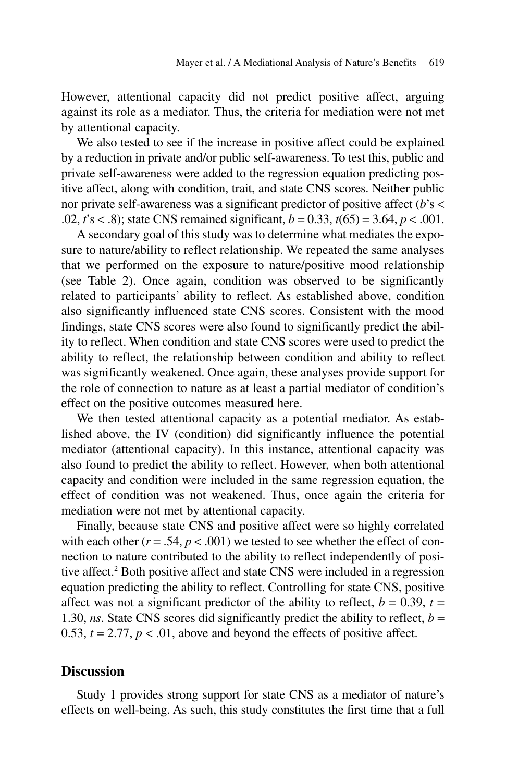However, attentional capacity did not predict positive affect, arguing against its role as a mediator. Thus, the criteria for mediation were not met by attentional capacity.

We also tested to see if the increase in positive affect could be explained by a reduction in private and/or public self-awareness. To test this, public and private self-awareness were added to the regression equation predicting positive affect, along with condition, trait, and state CNS scores. Neither public nor private self-awareness was a significant predictor of positive affect (*b*'s < .02, *t*'s < .8); state CNS remained significant, *b* = 0.33, *t*(65) = 3.64, *p* < .001.

A secondary goal of this study was to determine what mediates the exposure to nature/ability to reflect relationship. We repeated the same analyses that we performed on the exposure to nature/positive mood relationship (see Table 2). Once again, condition was observed to be significantly related to participants' ability to reflect. As established above, condition also significantly influenced state CNS scores. Consistent with the mood findings, state CNS scores were also found to significantly predict the ability to reflect. When condition and state CNS scores were used to predict the ability to reflect, the relationship between condition and ability to reflect was significantly weakened. Once again, these analyses provide support for the role of connection to nature as at least a partial mediator of condition's effect on the positive outcomes measured here.

We then tested attentional capacity as a potential mediator. As established above, the IV (condition) did significantly influence the potential mediator (attentional capacity). In this instance, attentional capacity was also found to predict the ability to reflect. However, when both attentional capacity and condition were included in the same regression equation, the effect of condition was not weakened. Thus, once again the criteria for mediation were not met by attentional capacity.

Finally, because state CNS and positive affect were so highly correlated with each other  $(r = .54, p < .001)$  we tested to see whether the effect of connection to nature contributed to the ability to reflect independently of positive affect.<sup>2</sup> Both positive affect and state CNS were included in a regression equation predicting the ability to reflect. Controlling for state CNS, positive affect was not a significant predictor of the ability to reflect,  $b = 0.39$ ,  $t =$ 1.30, *ns*. State CNS scores did significantly predict the ability to reflect,  $b =$ 0.53,  $t = 2.77$ ,  $p < 0.01$ , above and beyond the effects of positive affect.

## **Discussion**

Study 1 provides strong support for state CNS as a mediator of nature's effects on well-being. As such, this study constitutes the first time that a full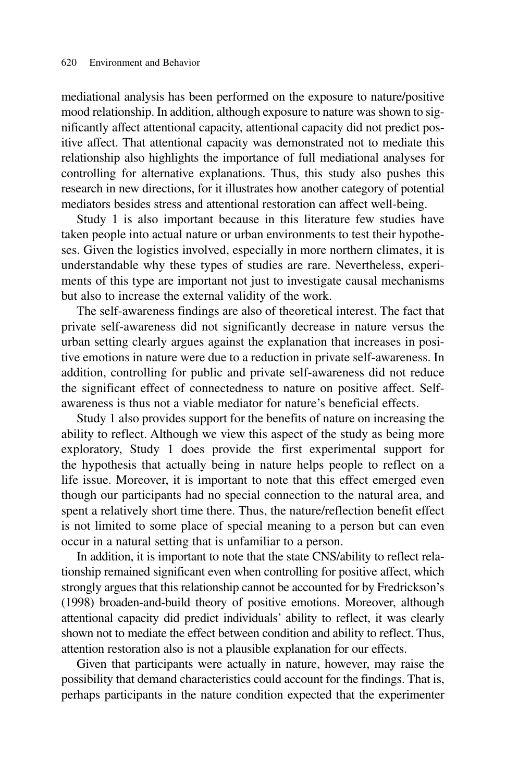mediational analysis has been performed on the exposure to nature/positive mood relationship. In addition, although exposure to nature was shown to significantly affect attentional capacity, attentional capacity did not predict positive affect. That attentional capacity was demonstrated not to mediate this relationship also highlights the importance of full mediational analyses for controlling for alternative explanations. Thus, this study also pushes this research in new directions, for it illustrates how another category of potential mediators besides stress and attentional restoration can affect well-being.

Study 1 is also important because in this literature few studies have taken people into actual nature or urban environments to test their hypotheses. Given the logistics involved, especially in more northern climates, it is understandable why these types of studies are rare. Nevertheless, experiments of this type are important not just to investigate causal mechanisms but also to increase the external validity of the work.

The self-awareness findings are also of theoretical interest. The fact that private self-awareness did not significantly decrease in nature versus the urban setting clearly argues against the explanation that increases in positive emotions in nature were due to a reduction in private self-awareness. In addition, controlling for public and private self-awareness did not reduce the significant effect of connectedness to nature on positive affect. Selfawareness is thus not a viable mediator for nature's beneficial effects.

Study 1 also provides support for the benefits of nature on increasing the ability to reflect. Although we view this aspect of the study as being more exploratory, Study 1 does provide the first experimental support for the hypothesis that actually being in nature helps people to reflect on a life issue. Moreover, it is important to note that this effect emerged even though our participants had no special connection to the natural area, and spent a relatively short time there. Thus, the nature/reflection benefit effect is not limited to some place of special meaning to a person but can even occur in a natural setting that is unfamiliar to a person.

In addition, it is important to note that the state CNS/ability to reflect relationship remained significant even when controlling for positive affect, which strongly argues that this relationship cannot be accounted for by Fredrickson's (1998) broaden-and-build theory of positive emotions. Moreover, although attentional capacity did predict individuals' ability to reflect, it was clearly shown not to mediate the effect between condition and ability to reflect. Thus, attention restoration also is not a plausible explanation for our effects.

Given that participants were actually in nature, however, may raise the possibility that demand characteristics could account for the findings. That is, perhaps participants in the nature condition expected that the experimenter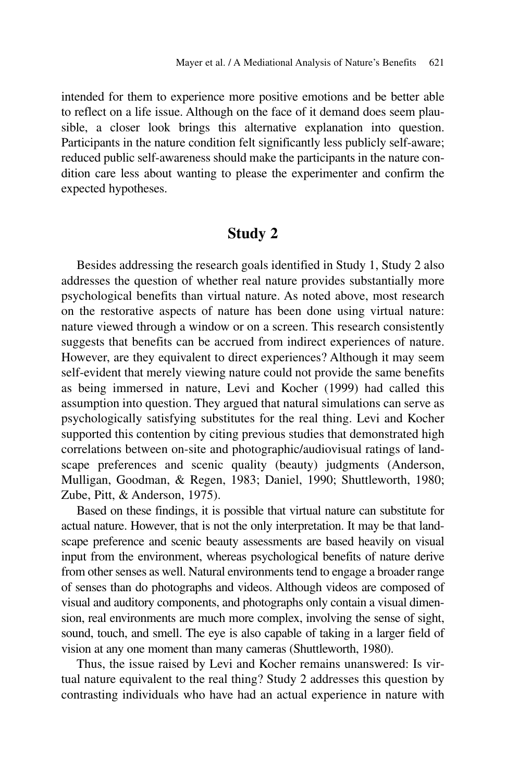intended for them to experience more positive emotions and be better able to reflect on a life issue. Although on the face of it demand does seem plausible, a closer look brings this alternative explanation into question. Participants in the nature condition felt significantly less publicly self-aware; reduced public self-awareness should make the participants in the nature condition care less about wanting to please the experimenter and confirm the expected hypotheses.

## **Study 2**

Besides addressing the research goals identified in Study 1, Study 2 also addresses the question of whether real nature provides substantially more psychological benefits than virtual nature. As noted above, most research on the restorative aspects of nature has been done using virtual nature: nature viewed through a window or on a screen. This research consistently suggests that benefits can be accrued from indirect experiences of nature. However, are they equivalent to direct experiences? Although it may seem self-evident that merely viewing nature could not provide the same benefits as being immersed in nature, Levi and Kocher (1999) had called this assumption into question. They argued that natural simulations can serve as psychologically satisfying substitutes for the real thing. Levi and Kocher supported this contention by citing previous studies that demonstrated high correlations between on-site and photographic/audiovisual ratings of landscape preferences and scenic quality (beauty) judgments (Anderson, Mulligan, Goodman, & Regen, 1983; Daniel, 1990; Shuttleworth, 1980; Zube, Pitt, & Anderson, 1975).

Based on these findings, it is possible that virtual nature can substitute for actual nature. However, that is not the only interpretation. It may be that landscape preference and scenic beauty assessments are based heavily on visual input from the environment, whereas psychological benefits of nature derive from other senses as well. Natural environments tend to engage a broader range of senses than do photographs and videos. Although videos are composed of visual and auditory components, and photographs only contain a visual dimension, real environments are much more complex, involving the sense of sight, sound, touch, and smell. The eye is also capable of taking in a larger field of vision at any one moment than many cameras (Shuttleworth, 1980).

Thus, the issue raised by Levi and Kocher remains unanswered: Is virtual nature equivalent to the real thing? Study 2 addresses this question by contrasting individuals who have had an actual experience in nature with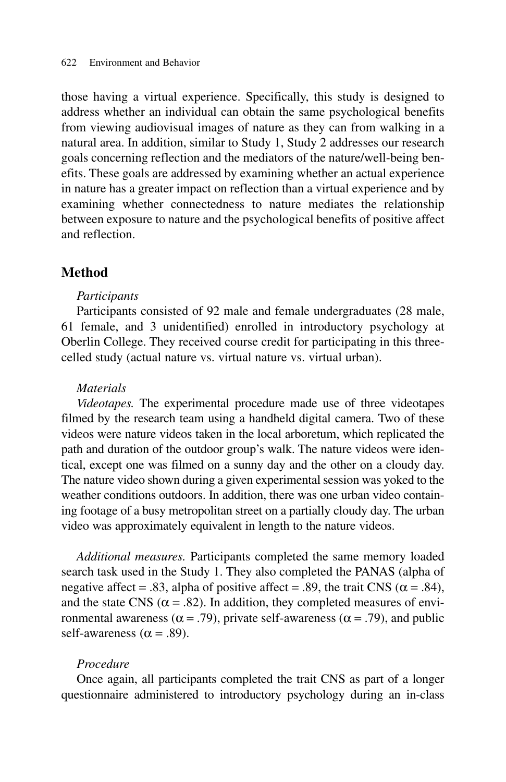those having a virtual experience. Specifically, this study is designed to address whether an individual can obtain the same psychological benefits from viewing audiovisual images of nature as they can from walking in a natural area. In addition, similar to Study 1, Study 2 addresses our research goals concerning reflection and the mediators of the nature/well-being benefits. These goals are addressed by examining whether an actual experience in nature has a greater impact on reflection than a virtual experience and by examining whether connectedness to nature mediates the relationship between exposure to nature and the psychological benefits of positive affect and reflection.

## **Method**

#### *Participants*

Participants consisted of 92 male and female undergraduates (28 male, 61 female, and 3 unidentified) enrolled in introductory psychology at Oberlin College. They received course credit for participating in this threecelled study (actual nature vs. virtual nature vs. virtual urban).

#### *Materials*

*Videotapes.* The experimental procedure made use of three videotapes filmed by the research team using a handheld digital camera. Two of these videos were nature videos taken in the local arboretum, which replicated the path and duration of the outdoor group's walk. The nature videos were identical, except one was filmed on a sunny day and the other on a cloudy day. The nature video shown during a given experimental session was yoked to the weather conditions outdoors. In addition, there was one urban video containing footage of a busy metropolitan street on a partially cloudy day. The urban video was approximately equivalent in length to the nature videos.

*Additional measures.* Participants completed the same memory loaded search task used in the Study 1. They also completed the PANAS (alpha of negative affect = .83, alpha of positive affect = .89, the trait CNS ( $\alpha$  = .84), and the state CNS ( $\alpha = .82$ ). In addition, they completed measures of environmental awareness ( $α = .79$ ), private self-awareness ( $α = .79$ ), and public self-awareness ( $\alpha$  = .89).

#### *Procedure*

Once again, all participants completed the trait CNS as part of a longer questionnaire administered to introductory psychology during an in-class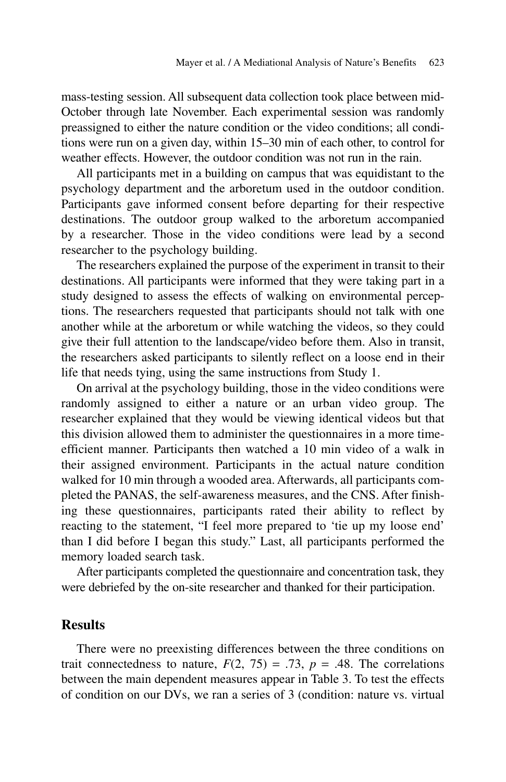mass-testing session. All subsequent data collection took place between mid-October through late November. Each experimental session was randomly preassigned to either the nature condition or the video conditions; all conditions were run on a given day, within 15–30 min of each other, to control for weather effects. However, the outdoor condition was not run in the rain.

All participants met in a building on campus that was equidistant to the psychology department and the arboretum used in the outdoor condition. Participants gave informed consent before departing for their respective destinations. The outdoor group walked to the arboretum accompanied by a researcher. Those in the video conditions were lead by a second researcher to the psychology building.

The researchers explained the purpose of the experiment in transit to their destinations. All participants were informed that they were taking part in a study designed to assess the effects of walking on environmental perceptions. The researchers requested that participants should not talk with one another while at the arboretum or while watching the videos, so they could give their full attention to the landscape/video before them. Also in transit, the researchers asked participants to silently reflect on a loose end in their life that needs tying, using the same instructions from Study 1.

On arrival at the psychology building, those in the video conditions were randomly assigned to either a nature or an urban video group. The researcher explained that they would be viewing identical videos but that this division allowed them to administer the questionnaires in a more timeefficient manner. Participants then watched a 10 min video of a walk in their assigned environment. Participants in the actual nature condition walked for 10 min through a wooded area. Afterwards, all participants completed the PANAS, the self-awareness measures, and the CNS. After finishing these questionnaires, participants rated their ability to reflect by reacting to the statement, "I feel more prepared to 'tie up my loose end' than I did before I began this study." Last, all participants performed the memory loaded search task.

After participants completed the questionnaire and concentration task, they were debriefed by the on-site researcher and thanked for their participation.

## **Results**

There were no preexisting differences between the three conditions on trait connectedness to nature,  $F(2, 75) = .73$ ,  $p = .48$ . The correlations between the main dependent measures appear in Table 3. To test the effects of condition on our DVs, we ran a series of 3 (condition: nature vs. virtual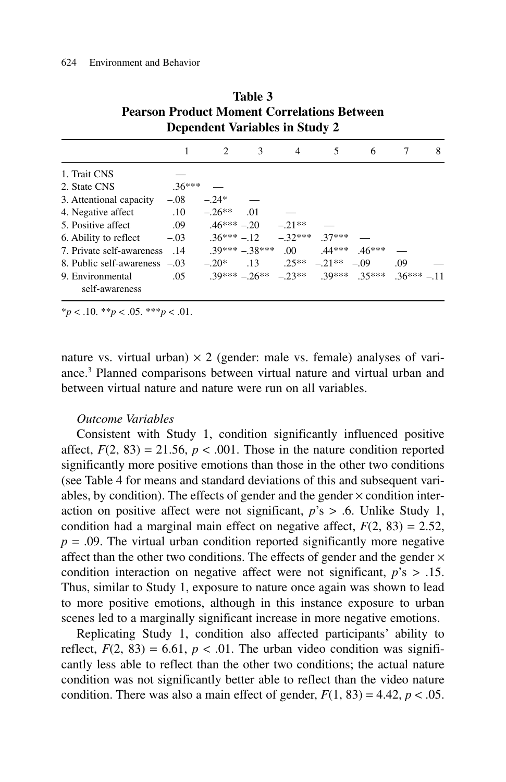|                                    |          | $\sim$ openions rainwiss in Staat |                 |                  |                                              |                   |     |   |
|------------------------------------|----------|-----------------------------------|-----------------|------------------|----------------------------------------------|-------------------|-----|---|
|                                    |          | $\mathcal{D}_{\mathcal{L}}$       | $\mathcal{R}$   | 4                | 5                                            | 6                 |     | 8 |
| 1. Trait CNS                       |          |                                   |                 |                  |                                              |                   |     |   |
| 2. State CNS                       | $.36***$ |                                   |                 |                  |                                              |                   |     |   |
| 3. Attentional capacity            | $-.08$   | $-.24*$                           |                 |                  |                                              |                   |     |   |
| 4. Negative affect                 | .10      | $-.26**$                          | .01             |                  |                                              |                   |     |   |
| 5. Positive affect                 | .09      | $.46***-.20$                      |                 | $-.21**$         |                                              |                   |     |   |
| 6. Ability to reflect              | $-.03$   |                                   | $36*** - 12$    |                  | $-32***$ 37***                               |                   |     |   |
| 7. Private self-awareness          | .14      |                                   | $.39***-.38***$ | .00 <sub>1</sub> |                                              | $.44***$ $.46***$ |     |   |
| 8. Public self-awareness $-0.3$    |          | $-.20*$                           | .13             |                  | $.25***$ $-.21***$ $-.09$                    |                   | -09 |   |
| 9. Environmental<br>self-awareness | .05      |                                   |                 |                  | $30***-26**-23**$ $30***$ $35***$ $36***-11$ |                   |     |   |

| Table 3                                            |
|----------------------------------------------------|
| <b>Pearson Product Moment Correlations Between</b> |
| <b>Dependent Variables in Study 2</b>              |

\**p* < .10. \*\**p* < .05. \*\*\**p* < .01.

nature vs. virtual urban)  $\times$  2 (gender: male vs. female) analyses of variance.3 Planned comparisons between virtual nature and virtual urban and between virtual nature and nature were run on all variables.

#### *Outcome Variables*

Consistent with Study 1, condition significantly influenced positive affect,  $F(2, 83) = 21.56$ ,  $p < .001$ . Those in the nature condition reported significantly more positive emotions than those in the other two conditions (see Table 4 for means and standard deviations of this and subsequent variables, by condition). The effects of gender and the gender  $\times$  condition interaction on positive affect were not significant,  $p$ 's  $> 0.6$ . Unlike Study 1, condition had a marginal main effect on negative affect,  $F(2, 83) = 2.52$ ,  $p = 0.09$ . The virtual urban condition reported significantly more negative affect than the other two conditions. The effects of gender and the gender  $\times$ condition interaction on negative affect were not significant,  $p$ 's  $> .15$ . Thus, similar to Study 1, exposure to nature once again was shown to lead to more positive emotions, although in this instance exposure to urban scenes led to a marginally significant increase in more negative emotions.

Replicating Study 1, condition also affected participants' ability to reflect,  $F(2, 83) = 6.61$ ,  $p < .01$ . The urban video condition was significantly less able to reflect than the other two conditions; the actual nature condition was not significantly better able to reflect than the video nature condition. There was also a main effect of gender,  $F(1, 83) = 4.42$ ,  $p < .05$ .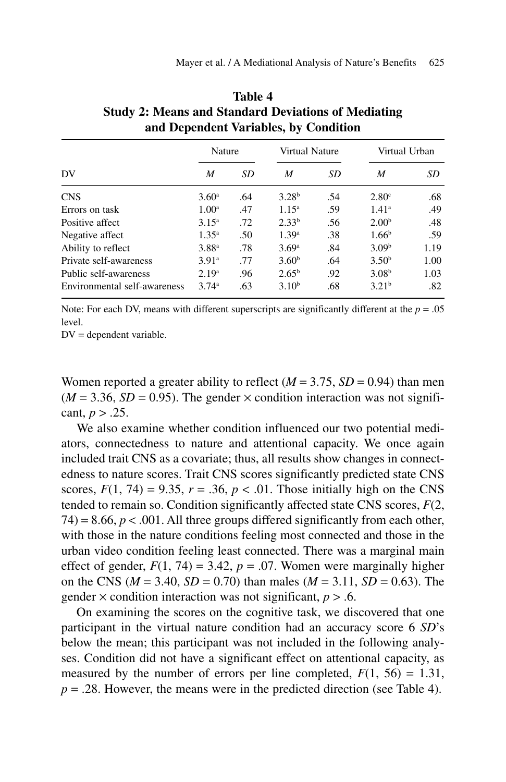|                              | Nature            |     | Virtual Nature    |     | Virtual Urban     |      |
|------------------------------|-------------------|-----|-------------------|-----|-------------------|------|
| DV                           | M                 | SD  | M                 | SD  | M                 | SD   |
| <b>CNS</b>                   | 3.60 <sup>a</sup> | .64 | 3.28 <sup>b</sup> | .54 | $2.80^\circ$      | .68  |
| Errors on task               | 1.00 <sup>a</sup> | .47 | $1.15^a$          | .59 | 1.41 <sup>a</sup> | .49  |
| Positive affect              | $3.15^a$          | .72 | $2.33^{b}$        | .56 | 2.00 <sup>b</sup> | .48  |
| Negative affect              | $1.35^{\circ}$    | .50 | 1.39 <sup>a</sup> | .38 | 1.66 <sup>b</sup> | .59  |
| Ability to reflect           | $3.88^{a}$        | .78 | 3.69 <sup>a</sup> | .84 | 3.09 <sup>b</sup> | 1.19 |
| Private self-awareness       | 3.91 <sup>a</sup> | .77 | 3.60 <sup>b</sup> | .64 | 3.50 <sup>b</sup> | 1.00 |
| Public self-awareness        | 2.19 <sup>a</sup> | .96 | $2.65^{\rm b}$    | .92 | 3.08 <sup>b</sup> | 1.03 |
| Environmental self-awareness | 3.74 <sup>a</sup> | .63 | $3.10^{b}$        | .68 | 3.21 <sup>b</sup> | .82  |

## **Table 4 Study 2: Means and Standard Deviations of Mediating and Dependent Variables, by Condition**

Note: For each DV, means with different superscripts are significantly different at the  $p = .05$ level.

DV = dependent variable.

Women reported a greater ability to reflect  $(M = 3.75, SD = 0.94)$  than men  $(M = 3.36, SD = 0.95)$ . The gender  $\times$  condition interaction was not significant.  $p > .25$ .

We also examine whether condition influenced our two potential mediators, connectedness to nature and attentional capacity. We once again included trait CNS as a covariate; thus, all results show changes in connectedness to nature scores. Trait CNS scores significantly predicted state CNS scores,  $F(1, 74) = 9.35$ ,  $r = .36$ ,  $p < .01$ . Those initially high on the CNS tended to remain so. Condition significantly affected state CNS scores, *F*(2,  $74$ ) = 8.66,  $p < .001$ . All three groups differed significantly from each other, with those in the nature conditions feeling most connected and those in the urban video condition feeling least connected. There was a marginal main effect of gender,  $F(1, 74) = 3.42$ ,  $p = .07$ . Women were marginally higher on the CNS ( $M = 3.40$ ,  $SD = 0.70$ ) than males ( $M = 3.11$ ,  $SD = 0.63$ ). The gender  $\times$  condition interaction was not significant,  $p > .6$ .

On examining the scores on the cognitive task, we discovered that one participant in the virtual nature condition had an accuracy score 6 *SD*'s below the mean; this participant was not included in the following analyses. Condition did not have a significant effect on attentional capacity, as measured by the number of errors per line completed,  $F(1, 56) = 1.31$ ,  $p = 0.28$ . However, the means were in the predicted direction (see Table 4).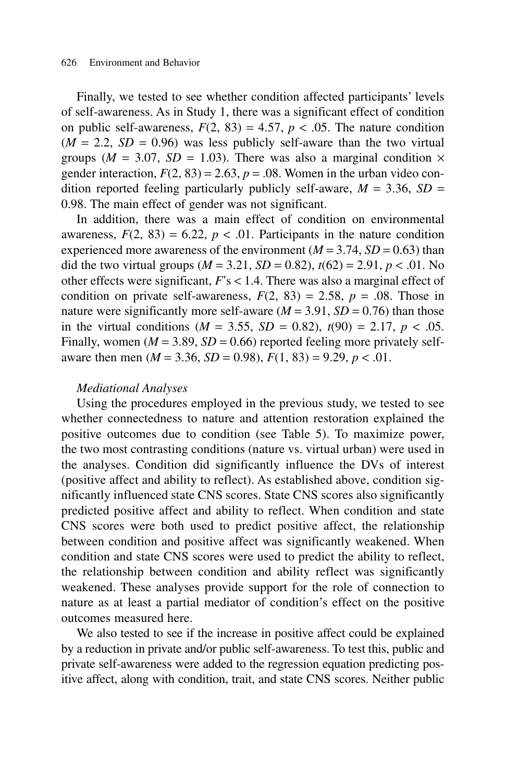Finally, we tested to see whether condition affected participants' levels of self-awareness. As in Study 1, there was a significant effect of condition on public self-awareness,  $F(2, 83) = 4.57$ ,  $p < .05$ . The nature condition  $(M = 2.2, SD = 0.96)$  was less publicly self-aware than the two virtual groups ( $M = 3.07$ ,  $SD = 1.03$ ). There was also a marginal condition  $\times$ gender interaction,  $F(2, 83) = 2.63$ ,  $p = .08$ . Women in the urban video condition reported feeling particularly publicly self-aware,  $M = 3.36$ ,  $SD =$ 0.98. The main effect of gender was not significant.

In addition, there was a main effect of condition on environmental awareness,  $F(2, 83) = 6.22$ ,  $p < .01$ . Participants in the nature condition experienced more awareness of the environment  $(M = 3.74, SD = 0.63)$  than did the two virtual groups ( $M = 3.21$ ,  $SD = 0.82$ ),  $t(62) = 2.91$ ,  $p < .01$ . No other effects were significant, *F*'s < 1.4. There was also a marginal effect of condition on private self-awareness,  $F(2, 83) = 2.58$ ,  $p = .08$ . Those in nature were significantly more self-aware  $(M = 3.91, SD = 0.76)$  than those in the virtual conditions ( $M = 3.55$ ,  $SD = 0.82$ ),  $t(90) = 2.17$ ,  $p < .05$ . Finally, women ( $M = 3.89$ ,  $SD = 0.66$ ) reported feeling more privately selfaware then men ( $M = 3.36$ ,  $SD = 0.98$ ),  $F(1, 83) = 9.29$ ,  $p < .01$ .

#### *Mediational Analyses*

Using the procedures employed in the previous study, we tested to see whether connectedness to nature and attention restoration explained the positive outcomes due to condition (see Table 5). To maximize power, the two most contrasting conditions (nature vs. virtual urban) were used in the analyses. Condition did significantly influence the DVs of interest (positive affect and ability to reflect). As established above, condition significantly influenced state CNS scores. State CNS scores also significantly predicted positive affect and ability to reflect. When condition and state CNS scores were both used to predict positive affect, the relationship between condition and positive affect was significantly weakened. When condition and state CNS scores were used to predict the ability to reflect, the relationship between condition and ability reflect was significantly weakened. These analyses provide support for the role of connection to nature as at least a partial mediator of condition's effect on the positive outcomes measured here.

We also tested to see if the increase in positive affect could be explained by a reduction in private and/or public self-awareness. To test this, public and private self-awareness were added to the regression equation predicting positive affect, along with condition, trait, and state CNS scores. Neither public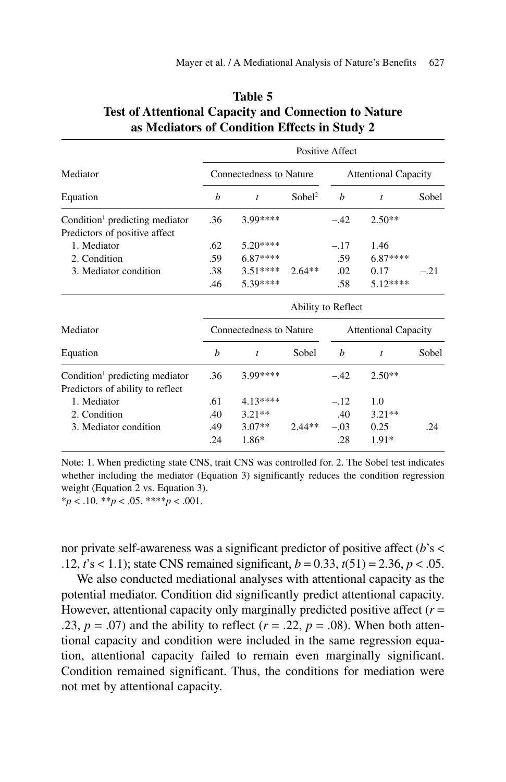|                                                                                | Positive Affect |                         |                    |                             |           |        |  |  |
|--------------------------------------------------------------------------------|-----------------|-------------------------|--------------------|-----------------------------|-----------|--------|--|--|
| Mediator                                                                       |                 | Connectedness to Nature |                    | <b>Attentional Capacity</b> |           |        |  |  |
| Equation                                                                       | b               | $\mathfrak{t}$          | Sobel <sup>2</sup> | $\boldsymbol{b}$            | t         | Sobel  |  |  |
| Condition <sup>1</sup> predicting mediator                                     | .36             | 3.99****                |                    | $-.42$                      | $2.50**$  |        |  |  |
| Predictors of positive affect                                                  |                 |                         |                    |                             |           |        |  |  |
| 1. Mediator                                                                    | .62             | 5.20****                |                    | $-.17$                      | 1.46      |        |  |  |
| 2. Condition                                                                   | .59             | $6.87***$               |                    | .59                         | $6.87***$ |        |  |  |
| 3. Mediator condition                                                          | .38             | $3.51***$               | $2.64**$           | .02                         | 0.17      | $-.21$ |  |  |
|                                                                                | .46             | 5.39****                |                    | .58                         | $5.12***$ |        |  |  |
|                                                                                |                 |                         | Ability to Reflect |                             |           |        |  |  |
| Mediator                                                                       |                 | Connectedness to Nature |                    | <b>Attentional Capacity</b> |           |        |  |  |
| Equation                                                                       | b               | t                       | Sobel              | b                           | t         | Sobel  |  |  |
| Condition <sup>1</sup> predicting mediator<br>Predictors of ability to reflect | .36             | 3.99****                |                    | $-.42$                      | $2.50**$  |        |  |  |
| 1. Mediator                                                                    | .61             | 4.13****                |                    | $-.12$                      | 1.0       |        |  |  |
| 2. Condition                                                                   | .40             | $3.21**$                |                    | .40                         | $3.21**$  |        |  |  |
| 3. Mediator condition                                                          | .49             | $3.07**$                | $2.44**$           | $-.03$                      | 0.25      | .24    |  |  |
|                                                                                | .24             | 1.86*                   |                    | .28                         | $1.91*$   |        |  |  |

## **Table 5 Test of Attentional Capacity and Connection to Nature as Mediators of Condition Effects in Study 2**

nor private self-awareness was a significant predictor of positive affect (*b*'s < .12, *t*'s < 1.1); state CNS remained significant, *b* = 0.33, *t*(51) = 2.36, *p* < .05.

We also conducted mediational analyses with attentional capacity as the potential mediator. Condition did significantly predict attentional capacity. However, attentional capacity only marginally predicted positive affect (*r* = .23,  $p = .07$ ) and the ability to reflect ( $r = .22$ ,  $p = .08$ ). When both attentional capacity and condition were included in the same regression equation, attentional capacity failed to remain even marginally significant. Condition remained significant. Thus, the conditions for mediation were not met by attentional capacity.

Note: 1. When predicting state CNS, trait CNS was controlled for. 2. The Sobel test indicates whether including the mediator (Equation 3) significantly reduces the condition regression weight (Equation 2 vs. Equation 3). \**p* < .10. \*\**p* < .05. \*\*\*\**p* < .001.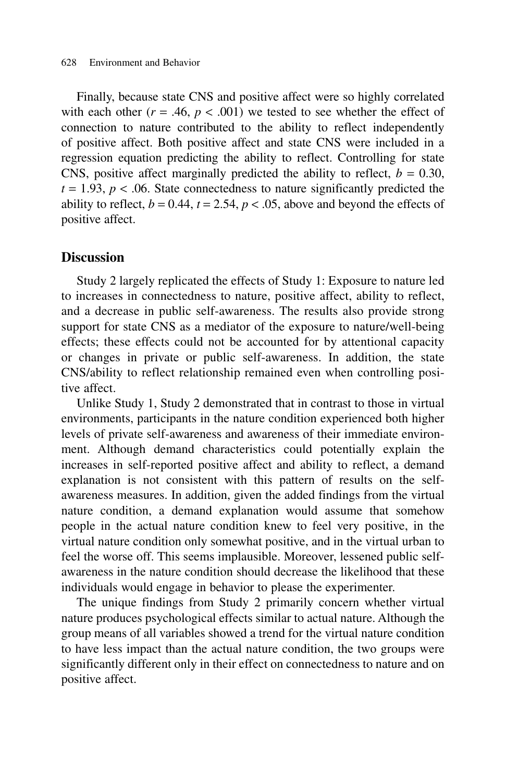Finally, because state CNS and positive affect were so highly correlated with each other  $(r = .46, p < .001)$  we tested to see whether the effect of connection to nature contributed to the ability to reflect independently of positive affect. Both positive affect and state CNS were included in a regression equation predicting the ability to reflect. Controlling for state CNS, positive affect marginally predicted the ability to reflect,  $b = 0.30$ ,  $t = 1.93$ ,  $p < .06$ . State connectedness to nature significantly predicted the ability to reflect,  $b = 0.44$ ,  $t = 2.54$ ,  $p < .05$ , above and beyond the effects of positive affect.

#### **Discussion**

Study 2 largely replicated the effects of Study 1: Exposure to nature led to increases in connectedness to nature, positive affect, ability to reflect, and a decrease in public self-awareness. The results also provide strong support for state CNS as a mediator of the exposure to nature/well-being effects; these effects could not be accounted for by attentional capacity or changes in private or public self-awareness. In addition, the state CNS/ability to reflect relationship remained even when controlling positive affect.

Unlike Study 1, Study 2 demonstrated that in contrast to those in virtual environments, participants in the nature condition experienced both higher levels of private self-awareness and awareness of their immediate environment. Although demand characteristics could potentially explain the increases in self-reported positive affect and ability to reflect, a demand explanation is not consistent with this pattern of results on the selfawareness measures. In addition, given the added findings from the virtual nature condition, a demand explanation would assume that somehow people in the actual nature condition knew to feel very positive, in the virtual nature condition only somewhat positive, and in the virtual urban to feel the worse off. This seems implausible. Moreover, lessened public selfawareness in the nature condition should decrease the likelihood that these individuals would engage in behavior to please the experimenter.

The unique findings from Study 2 primarily concern whether virtual nature produces psychological effects similar to actual nature. Although the group means of all variables showed a trend for the virtual nature condition to have less impact than the actual nature condition, the two groups were significantly different only in their effect on connectedness to nature and on positive affect.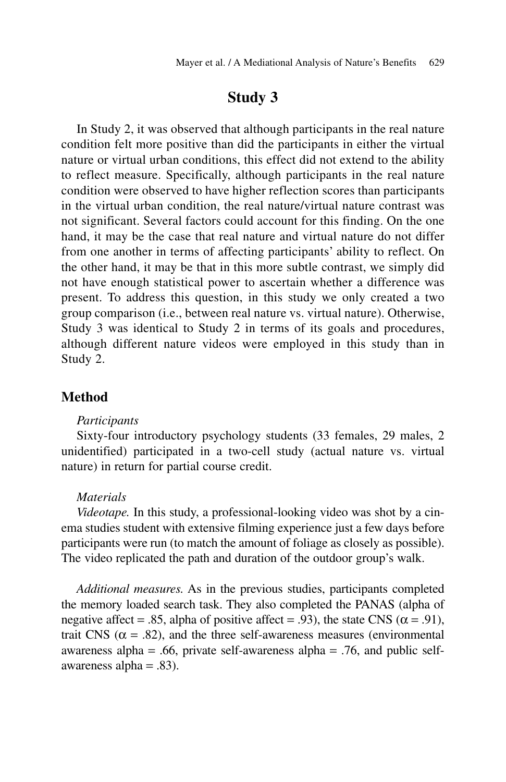## **Study 3**

In Study 2, it was observed that although participants in the real nature condition felt more positive than did the participants in either the virtual nature or virtual urban conditions, this effect did not extend to the ability to reflect measure. Specifically, although participants in the real nature condition were observed to have higher reflection scores than participants in the virtual urban condition, the real nature/virtual nature contrast was not significant. Several factors could account for this finding. On the one hand, it may be the case that real nature and virtual nature do not differ from one another in terms of affecting participants' ability to reflect. On the other hand, it may be that in this more subtle contrast, we simply did not have enough statistical power to ascertain whether a difference was present. To address this question, in this study we only created a two group comparison (i.e., between real nature vs. virtual nature). Otherwise, Study 3 was identical to Study 2 in terms of its goals and procedures, although different nature videos were employed in this study than in Study 2.

## **Method**

#### *Participants*

Sixty-four introductory psychology students (33 females, 29 males, 2 unidentified) participated in a two-cell study (actual nature vs. virtual nature) in return for partial course credit.

#### *Materials*

*Videotape.* In this study, a professional-looking video was shot by a cinema studies student with extensive filming experience just a few days before participants were run (to match the amount of foliage as closely as possible). The video replicated the path and duration of the outdoor group's walk.

*Additional measures.* As in the previous studies, participants completed the memory loaded search task. They also completed the PANAS (alpha of negative affect = .85, alpha of positive affect = .93), the state CNS ( $\alpha$  = .91), trait CNS ( $\alpha$  = .82), and the three self-awareness measures (environmental awareness alpha = .66, private self-awareness alpha = .76, and public selfawareness alpha  $= .83$ ).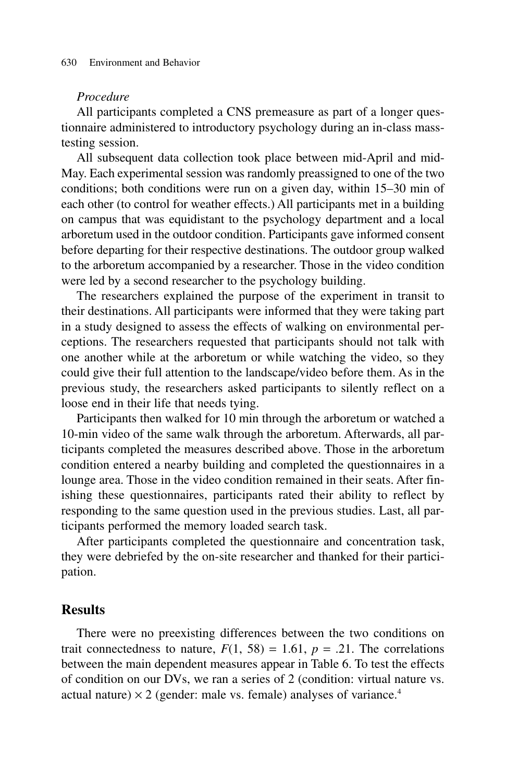#### *Procedure*

All participants completed a CNS premeasure as part of a longer questionnaire administered to introductory psychology during an in-class masstesting session.

All subsequent data collection took place between mid-April and mid-May. Each experimental session was randomly preassigned to one of the two conditions; both conditions were run on a given day, within 15–30 min of each other (to control for weather effects.) All participants met in a building on campus that was equidistant to the psychology department and a local arboretum used in the outdoor condition. Participants gave informed consent before departing for their respective destinations. The outdoor group walked to the arboretum accompanied by a researcher. Those in the video condition were led by a second researcher to the psychology building.

The researchers explained the purpose of the experiment in transit to their destinations. All participants were informed that they were taking part in a study designed to assess the effects of walking on environmental perceptions. The researchers requested that participants should not talk with one another while at the arboretum or while watching the video, so they could give their full attention to the landscape/video before them. As in the previous study, the researchers asked participants to silently reflect on a loose end in their life that needs tying.

Participants then walked for 10 min through the arboretum or watched a 10-min video of the same walk through the arboretum. Afterwards, all participants completed the measures described above. Those in the arboretum condition entered a nearby building and completed the questionnaires in a lounge area. Those in the video condition remained in their seats. After finishing these questionnaires, participants rated their ability to reflect by responding to the same question used in the previous studies. Last, all participants performed the memory loaded search task.

After participants completed the questionnaire and concentration task, they were debriefed by the on-site researcher and thanked for their participation.

## **Results**

There were no preexisting differences between the two conditions on trait connectedness to nature,  $F(1, 58) = 1.61$ ,  $p = .21$ . The correlations between the main dependent measures appear in Table 6. To test the effects of condition on our DVs, we ran a series of 2 (condition: virtual nature vs. actual nature)  $\times$  2 (gender: male vs. female) analyses of variance.<sup>4</sup>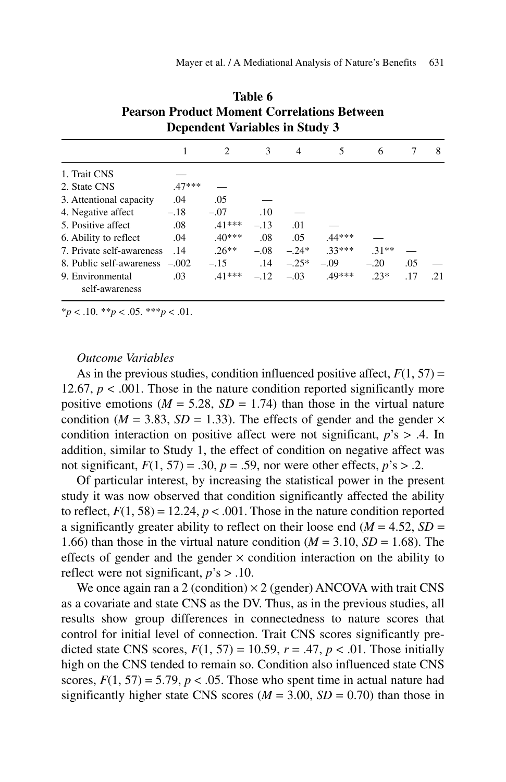| Dependent variables in Stauv 9     |          |                |        |         |         |        |     |    |  |
|------------------------------------|----------|----------------|--------|---------|---------|--------|-----|----|--|
|                                    |          | $\overline{c}$ | 3      | 4       | 5       | 6      |     | 8  |  |
| 1. Trait CNS                       |          |                |        |         |         |        |     |    |  |
| 2. State CNS                       | $.47***$ |                |        |         |         |        |     |    |  |
| 3. Attentional capacity            | .04      | .05            |        |         |         |        |     |    |  |
| 4. Negative affect                 | $-.18$   | $-.07$         | .10    |         |         |        |     |    |  |
| 5. Positive affect                 | .08      | $.41***$       | $-.13$ | .01     |         |        |     |    |  |
| 6. Ability to reflect              | .04      | $.40***$       | .08    | .05     | 44***   |        |     |    |  |
| 7. Private self-awareness          | .14      | $26**$         | $-.08$ | $-.24*$ | $33***$ | $31**$ |     |    |  |
| 8. Public self-awareness $-0.002$  |          | $-.15$         | .14    | $-.25*$ | $-.09$  | $-.20$ | .05 |    |  |
| 9. Environmental<br>self-awareness | .03      | $41***$        | $-.12$ | $-.03$  | 49***   | $.23*$ | .17 | 21 |  |

## **Table 6 Pearson Product Moment Correlations Between Dependent Variables in Study 3**

\**p* < .10. \*\**p* < .05. \*\*\**p* < .01.

## *Outcome Variables*

As in the previous studies, condition influenced positive affect,  $F(1, 57) =$ 12.67,  $p < .001$ . Those in the nature condition reported significantly more positive emotions ( $M = 5.28$ ,  $SD = 1.74$ ) than those in the virtual nature condition ( $M = 3.83$ ,  $SD = 1.33$ ). The effects of gender and the gender  $\times$ condition interaction on positive affect were not significant, *p*'s > .4. In addition, similar to Study 1, the effect of condition on negative affect was not significant,  $F(1, 57) = .30$ ,  $p = .59$ , nor were other effects,  $p's > .2$ .

Of particular interest, by increasing the statistical power in the present study it was now observed that condition significantly affected the ability to reflect,  $F(1, 58) = 12.24$ ,  $p < .001$ . Those in the nature condition reported a significantly greater ability to reflect on their loose end  $(M = 4.52, SD =$ 1.66) than those in the virtual nature condition  $(M = 3.10, SD = 1.68)$ . The effects of gender and the gender  $\times$  condition interaction on the ability to reflect were not significant, *p*'s > .10.

We once again ran a 2 (condition)  $\times$  2 (gender) ANCOVA with trait CNS as a covariate and state CNS as the DV. Thus, as in the previous studies, all results show group differences in connectedness to nature scores that control for initial level of connection. Trait CNS scores significantly predicted state CNS scores,  $F(1, 57) = 10.59$ ,  $r = .47$ ,  $p < .01$ . Those initially high on the CNS tended to remain so. Condition also influenced state CNS scores,  $F(1, 57) = 5.79$ ,  $p < .05$ . Those who spent time in actual nature had significantly higher state CNS scores ( $M = 3.00$ ,  $SD = 0.70$ ) than those in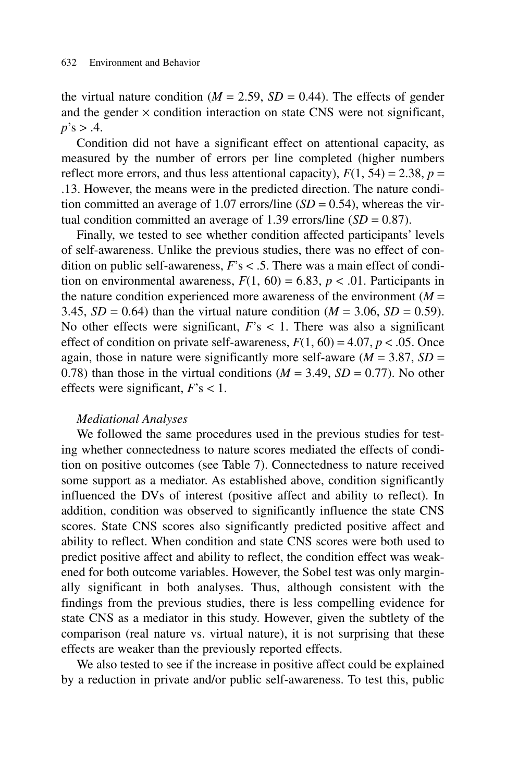the virtual nature condition ( $M = 2.59$ ,  $SD = 0.44$ ). The effects of gender and the gender  $\times$  condition interaction on state CNS were not significant,  $p$ 's > .4.

Condition did not have a significant effect on attentional capacity, as measured by the number of errors per line completed (higher numbers reflect more errors, and thus less attentional capacity),  $F(1, 54) = 2.38$ ,  $p =$ .13. However, the means were in the predicted direction. The nature condition committed an average of 1.07 errors/line  $(SD = 0.54)$ , whereas the virtual condition committed an average of 1.39 errors/line  $(SD = 0.87)$ .

Finally, we tested to see whether condition affected participants' levels of self-awareness. Unlike the previous studies, there was no effect of condition on public self-awareness, *F*'s < .5. There was a main effect of condition on environmental awareness,  $F(1, 60) = 6.83$ ,  $p < .01$ . Participants in the nature condition experienced more awareness of the environment  $(M =$ 3.45, *SD* = 0.64) than the virtual nature condition ( $M = 3.06$ , *SD* = 0.59). No other effects were significant,  $F$ 's  $\lt$  1. There was also a significant effect of condition on private self-awareness,  $F(1, 60) = 4.07$ ,  $p < .05$ . Once again, those in nature were significantly more self-aware ( $M = 3.87$ ,  $SD =$ 0.78) than those in the virtual conditions  $(M = 3.49, SD = 0.77)$ . No other effects were significant, *F*'s < 1.

#### *Mediational Analyses*

We followed the same procedures used in the previous studies for testing whether connectedness to nature scores mediated the effects of condition on positive outcomes (see Table 7). Connectedness to nature received some support as a mediator. As established above, condition significantly influenced the DVs of interest (positive affect and ability to reflect). In addition, condition was observed to significantly influence the state CNS scores. State CNS scores also significantly predicted positive affect and ability to reflect. When condition and state CNS scores were both used to predict positive affect and ability to reflect, the condition effect was weakened for both outcome variables. However, the Sobel test was only marginally significant in both analyses. Thus, although consistent with the findings from the previous studies, there is less compelling evidence for state CNS as a mediator in this study. However, given the subtlety of the comparison (real nature vs. virtual nature), it is not surprising that these effects are weaker than the previously reported effects.

We also tested to see if the increase in positive affect could be explained by a reduction in private and/or public self-awareness. To test this, public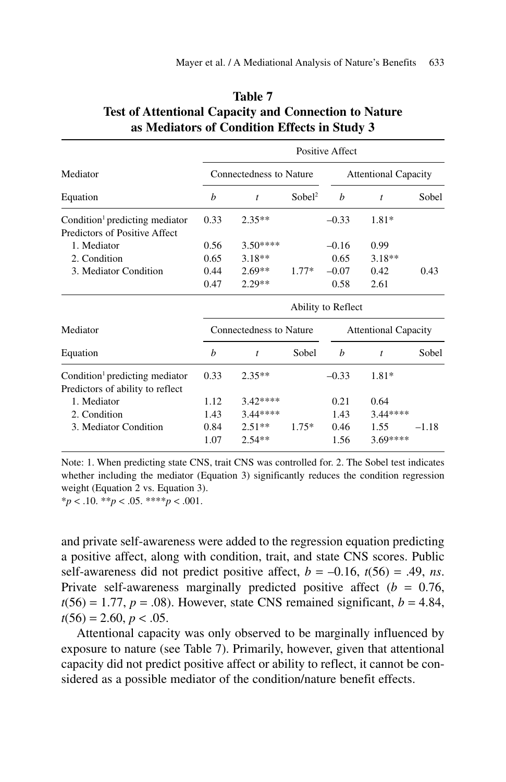|                                                                                                                                                                                                                                                                          | Positive Affect |                         |                    |                             |                             |         |  |  |
|--------------------------------------------------------------------------------------------------------------------------------------------------------------------------------------------------------------------------------------------------------------------------|-----------------|-------------------------|--------------------|-----------------------------|-----------------------------|---------|--|--|
| Mediator                                                                                                                                                                                                                                                                 |                 | Connectedness to Nature |                    | <b>Attentional Capacity</b> |                             |         |  |  |
| Equation<br>Condition <sup>1</sup> predicting mediator<br>Predictors of Positive Affect<br>1. Mediator<br>2. Condition<br>3. Mediator Condition<br>Mediator<br>Equation<br>Condition <sup>1</sup> predicting mediator<br>Predictors of ability to reflect<br>1. Mediator | b               | $\boldsymbol{t}$        | Sobel <sup>2</sup> | h                           | t                           | Sobel   |  |  |
|                                                                                                                                                                                                                                                                          | 0.33            | $2.35**$                |                    | $-0.33$                     | $1.81*$                     |         |  |  |
|                                                                                                                                                                                                                                                                          |                 |                         |                    |                             |                             |         |  |  |
|                                                                                                                                                                                                                                                                          | 0.56            | $3.50***$               |                    | $-0.16$                     | 0.99                        |         |  |  |
|                                                                                                                                                                                                                                                                          | 0.65            | $3.18**$                |                    | 0.65                        | $3.18**$                    |         |  |  |
|                                                                                                                                                                                                                                                                          | 0.44            | $2.69**$                | $1.77*$            | $-0.07$                     | 0.42                        | 0.43    |  |  |
|                                                                                                                                                                                                                                                                          | 0.47            | $2.29**$                |                    | 0.58                        | 2.61                        |         |  |  |
|                                                                                                                                                                                                                                                                          |                 |                         |                    | Ability to Reflect          |                             |         |  |  |
|                                                                                                                                                                                                                                                                          |                 | Connectedness to Nature |                    |                             | <b>Attentional Capacity</b> |         |  |  |
|                                                                                                                                                                                                                                                                          | b               | t                       | Sobel              | b                           | t                           | Sobel   |  |  |
|                                                                                                                                                                                                                                                                          | 0.33            | $2.35**$                |                    | $-0.33$                     | $1.81*$                     |         |  |  |
|                                                                                                                                                                                                                                                                          | 1.12            | 3.42****                |                    | 0.21                        | 0.64                        |         |  |  |
| 2. Condition                                                                                                                                                                                                                                                             | 1.43            | $3.44***$               |                    | 1.43                        | $3.44***$                   |         |  |  |
| 3. Mediator Condition                                                                                                                                                                                                                                                    | 0.84            | $2.51**$                | $1.75*$            | 0.46                        | 1.55                        | $-1.18$ |  |  |
|                                                                                                                                                                                                                                                                          | 1.07            | $2.54**$                |                    | 1.56                        | 3.69****                    |         |  |  |

## **Table 7 Test of Attentional Capacity and Connection to Nature as Mediators of Condition Effects in Study 3**

Note: 1. When predicting state CNS, trait CNS was controlled for. 2. The Sobel test indicates whether including the mediator (Equation 3) significantly reduces the condition regression weight (Equation 2 vs. Equation 3). \**p* < .10. \*\**p* < .05. \*\*\*\**p* < .001.

and private self-awareness were added to the regression equation predicting a positive affect, along with condition, trait, and state CNS scores. Public self-awareness did not predict positive affect,  $b = -0.16$ ,  $t(56) = .49$ , *ns*. Private self-awareness marginally predicted positive affect  $(b = 0.76,$  $t(56) = 1.77$ ,  $p = .08$ ). However, state CNS remained significant,  $b = 4.84$ ,  $t(56) = 2.60, p < .05.$ 

Attentional capacity was only observed to be marginally influenced by exposure to nature (see Table 7). Primarily, however, given that attentional capacity did not predict positive affect or ability to reflect, it cannot be considered as a possible mediator of the condition/nature benefit effects.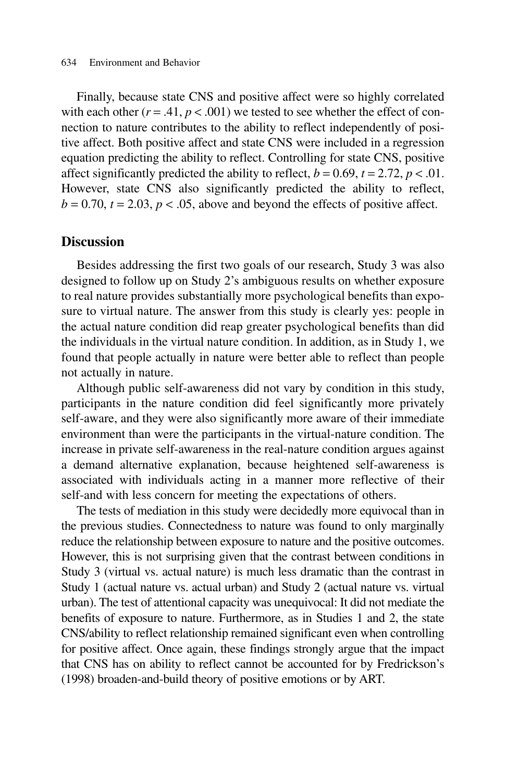Finally, because state CNS and positive affect were so highly correlated with each other  $(r = .41, p < .001)$  we tested to see whether the effect of connection to nature contributes to the ability to reflect independently of positive affect. Both positive affect and state CNS were included in a regression equation predicting the ability to reflect. Controlling for state CNS, positive affect significantly predicted the ability to reflect,  $b = 0.69$ ,  $t = 2.72$ ,  $p < .01$ . However, state CNS also significantly predicted the ability to reflect,  $b = 0.70$ ,  $t = 2.03$ ,  $p < .05$ , above and beyond the effects of positive affect.

#### **Discussion**

Besides addressing the first two goals of our research, Study 3 was also designed to follow up on Study 2's ambiguous results on whether exposure to real nature provides substantially more psychological benefits than exposure to virtual nature. The answer from this study is clearly yes: people in the actual nature condition did reap greater psychological benefits than did the individuals in the virtual nature condition. In addition, as in Study 1, we found that people actually in nature were better able to reflect than people not actually in nature.

Although public self-awareness did not vary by condition in this study, participants in the nature condition did feel significantly more privately self-aware, and they were also significantly more aware of their immediate environment than were the participants in the virtual-nature condition. The increase in private self-awareness in the real-nature condition argues against a demand alternative explanation, because heightened self-awareness is associated with individuals acting in a manner more reflective of their self-and with less concern for meeting the expectations of others.

The tests of mediation in this study were decidedly more equivocal than in the previous studies. Connectedness to nature was found to only marginally reduce the relationship between exposure to nature and the positive outcomes. However, this is not surprising given that the contrast between conditions in Study 3 (virtual vs. actual nature) is much less dramatic than the contrast in Study 1 (actual nature vs. actual urban) and Study 2 (actual nature vs. virtual urban). The test of attentional capacity was unequivocal: It did not mediate the benefits of exposure to nature. Furthermore, as in Studies 1 and 2, the state CNS/ability to reflect relationship remained significant even when controlling for positive affect. Once again, these findings strongly argue that the impact that CNS has on ability to reflect cannot be accounted for by Fredrickson's (1998) broaden-and-build theory of positive emotions or by ART.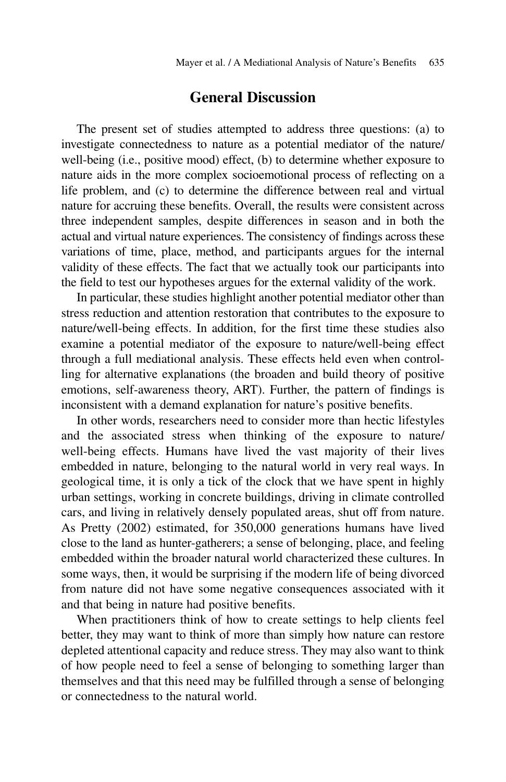## **General Discussion**

The present set of studies attempted to address three questions: (a) to investigate connectedness to nature as a potential mediator of the nature/ well-being (i.e., positive mood) effect, (b) to determine whether exposure to nature aids in the more complex socioemotional process of reflecting on a life problem, and (c) to determine the difference between real and virtual nature for accruing these benefits. Overall, the results were consistent across three independent samples, despite differences in season and in both the actual and virtual nature experiences. The consistency of findings across these variations of time, place, method, and participants argues for the internal validity of these effects. The fact that we actually took our participants into the field to test our hypotheses argues for the external validity of the work.

In particular, these studies highlight another potential mediator other than stress reduction and attention restoration that contributes to the exposure to nature/well-being effects. In addition, for the first time these studies also examine a potential mediator of the exposure to nature/well-being effect through a full mediational analysis. These effects held even when controlling for alternative explanations (the broaden and build theory of positive emotions, self-awareness theory, ART). Further, the pattern of findings is inconsistent with a demand explanation for nature's positive benefits.

In other words, researchers need to consider more than hectic lifestyles and the associated stress when thinking of the exposure to nature/ well-being effects. Humans have lived the vast majority of their lives embedded in nature, belonging to the natural world in very real ways. In geological time, it is only a tick of the clock that we have spent in highly urban settings, working in concrete buildings, driving in climate controlled cars, and living in relatively densely populated areas, shut off from nature. As Pretty (2002) estimated, for 350,000 generations humans have lived close to the land as hunter-gatherers; a sense of belonging, place, and feeling embedded within the broader natural world characterized these cultures. In some ways, then, it would be surprising if the modern life of being divorced from nature did not have some negative consequences associated with it and that being in nature had positive benefits.

When practitioners think of how to create settings to help clients feel better, they may want to think of more than simply how nature can restore depleted attentional capacity and reduce stress. They may also want to think of how people need to feel a sense of belonging to something larger than themselves and that this need may be fulfilled through a sense of belonging or connectedness to the natural world.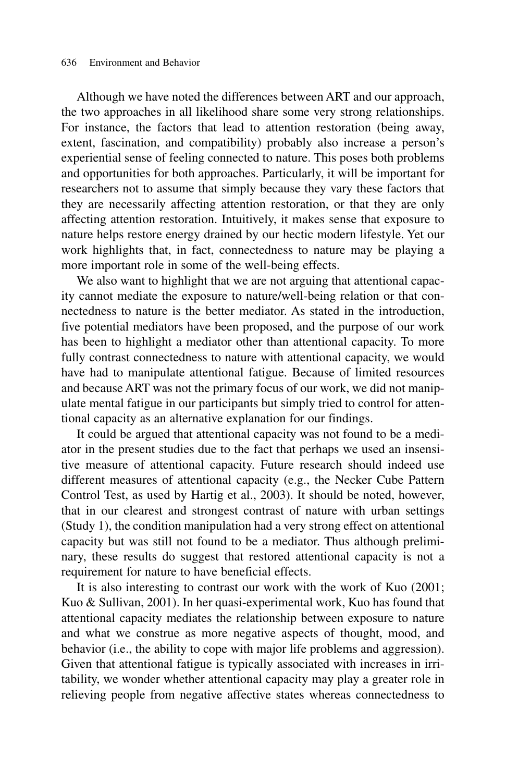Although we have noted the differences between ART and our approach, the two approaches in all likelihood share some very strong relationships. For instance, the factors that lead to attention restoration (being away, extent, fascination, and compatibility) probably also increase a person's experiential sense of feeling connected to nature. This poses both problems and opportunities for both approaches. Particularly, it will be important for researchers not to assume that simply because they vary these factors that they are necessarily affecting attention restoration, or that they are only affecting attention restoration. Intuitively, it makes sense that exposure to nature helps restore energy drained by our hectic modern lifestyle. Yet our work highlights that, in fact, connectedness to nature may be playing a more important role in some of the well-being effects.

We also want to highlight that we are not arguing that attentional capacity cannot mediate the exposure to nature/well-being relation or that connectedness to nature is the better mediator. As stated in the introduction, five potential mediators have been proposed, and the purpose of our work has been to highlight a mediator other than attentional capacity. To more fully contrast connectedness to nature with attentional capacity, we would have had to manipulate attentional fatigue. Because of limited resources and because ART was not the primary focus of our work, we did not manipulate mental fatigue in our participants but simply tried to control for attentional capacity as an alternative explanation for our findings.

It could be argued that attentional capacity was not found to be a mediator in the present studies due to the fact that perhaps we used an insensitive measure of attentional capacity. Future research should indeed use different measures of attentional capacity (e.g., the Necker Cube Pattern Control Test, as used by Hartig et al., 2003). It should be noted, however, that in our clearest and strongest contrast of nature with urban settings (Study 1), the condition manipulation had a very strong effect on attentional capacity but was still not found to be a mediator. Thus although preliminary, these results do suggest that restored attentional capacity is not a requirement for nature to have beneficial effects.

It is also interesting to contrast our work with the work of Kuo (2001; Kuo & Sullivan, 2001). In her quasi-experimental work, Kuo has found that attentional capacity mediates the relationship between exposure to nature and what we construe as more negative aspects of thought, mood, and behavior (i.e., the ability to cope with major life problems and aggression). Given that attentional fatigue is typically associated with increases in irritability, we wonder whether attentional capacity may play a greater role in relieving people from negative affective states whereas connectedness to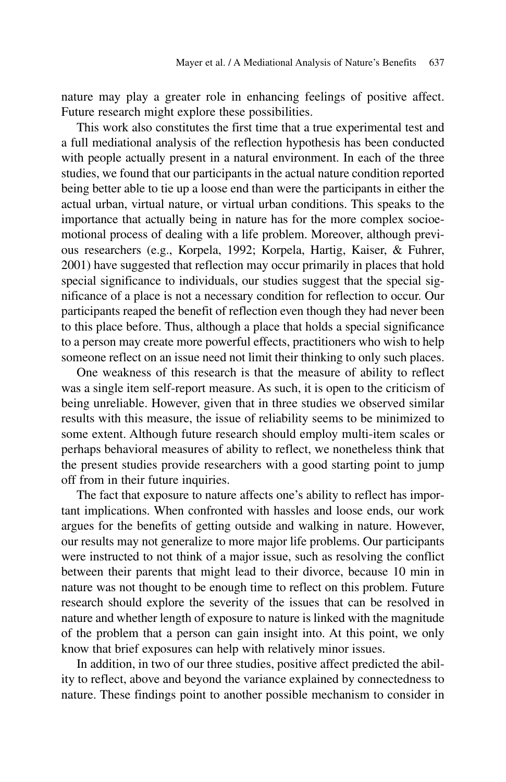nature may play a greater role in enhancing feelings of positive affect. Future research might explore these possibilities.

This work also constitutes the first time that a true experimental test and a full mediational analysis of the reflection hypothesis has been conducted with people actually present in a natural environment. In each of the three studies, we found that our participants in the actual nature condition reported being better able to tie up a loose end than were the participants in either the actual urban, virtual nature, or virtual urban conditions. This speaks to the importance that actually being in nature has for the more complex socioemotional process of dealing with a life problem. Moreover, although previous researchers (e.g., Korpela, 1992; Korpela, Hartig, Kaiser, & Fuhrer, 2001) have suggested that reflection may occur primarily in places that hold special significance to individuals, our studies suggest that the special significance of a place is not a necessary condition for reflection to occur. Our participants reaped the benefit of reflection even though they had never been to this place before. Thus, although a place that holds a special significance to a person may create more powerful effects, practitioners who wish to help someone reflect on an issue need not limit their thinking to only such places.

One weakness of this research is that the measure of ability to reflect was a single item self-report measure. As such, it is open to the criticism of being unreliable. However, given that in three studies we observed similar results with this measure, the issue of reliability seems to be minimized to some extent. Although future research should employ multi-item scales or perhaps behavioral measures of ability to reflect, we nonetheless think that the present studies provide researchers with a good starting point to jump off from in their future inquiries.

The fact that exposure to nature affects one's ability to reflect has important implications. When confronted with hassles and loose ends, our work argues for the benefits of getting outside and walking in nature. However, our results may not generalize to more major life problems. Our participants were instructed to not think of a major issue, such as resolving the conflict between their parents that might lead to their divorce, because 10 min in nature was not thought to be enough time to reflect on this problem. Future research should explore the severity of the issues that can be resolved in nature and whether length of exposure to nature is linked with the magnitude of the problem that a person can gain insight into. At this point, we only know that brief exposures can help with relatively minor issues.

In addition, in two of our three studies, positive affect predicted the ability to reflect, above and beyond the variance explained by connectedness to nature. These findings point to another possible mechanism to consider in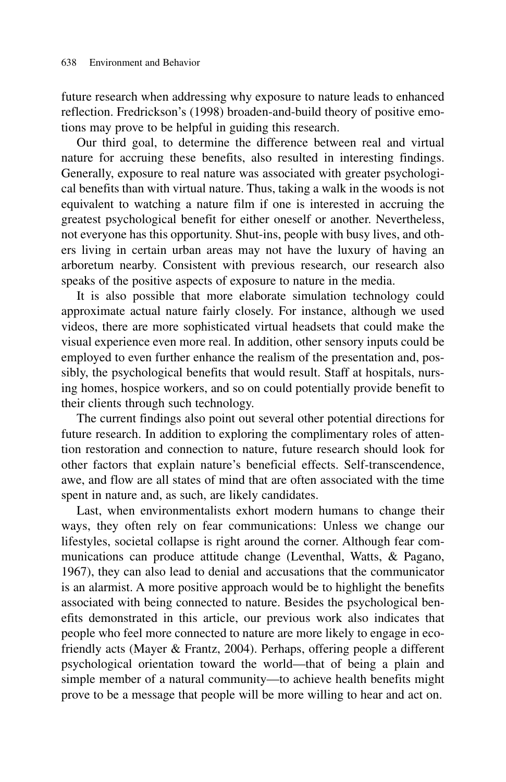future research when addressing why exposure to nature leads to enhanced reflection. Fredrickson's (1998) broaden-and-build theory of positive emotions may prove to be helpful in guiding this research.

Our third goal, to determine the difference between real and virtual nature for accruing these benefits, also resulted in interesting findings. Generally, exposure to real nature was associated with greater psychological benefits than with virtual nature. Thus, taking a walk in the woods is not equivalent to watching a nature film if one is interested in accruing the greatest psychological benefit for either oneself or another. Nevertheless, not everyone has this opportunity. Shut-ins, people with busy lives, and others living in certain urban areas may not have the luxury of having an arboretum nearby. Consistent with previous research, our research also speaks of the positive aspects of exposure to nature in the media.

It is also possible that more elaborate simulation technology could approximate actual nature fairly closely. For instance, although we used videos, there are more sophisticated virtual headsets that could make the visual experience even more real. In addition, other sensory inputs could be employed to even further enhance the realism of the presentation and, possibly, the psychological benefits that would result. Staff at hospitals, nursing homes, hospice workers, and so on could potentially provide benefit to their clients through such technology.

The current findings also point out several other potential directions for future research. In addition to exploring the complimentary roles of attention restoration and connection to nature, future research should look for other factors that explain nature's beneficial effects. Self-transcendence, awe, and flow are all states of mind that are often associated with the time spent in nature and, as such, are likely candidates.

Last, when environmentalists exhort modern humans to change their ways, they often rely on fear communications: Unless we change our lifestyles, societal collapse is right around the corner. Although fear communications can produce attitude change (Leventhal, Watts, & Pagano, 1967), they can also lead to denial and accusations that the communicator is an alarmist. A more positive approach would be to highlight the benefits associated with being connected to nature. Besides the psychological benefits demonstrated in this article, our previous work also indicates that people who feel more connected to nature are more likely to engage in ecofriendly acts (Mayer & Frantz, 2004). Perhaps, offering people a different psychological orientation toward the world—that of being a plain and simple member of a natural community—to achieve health benefits might prove to be a message that people will be more willing to hear and act on.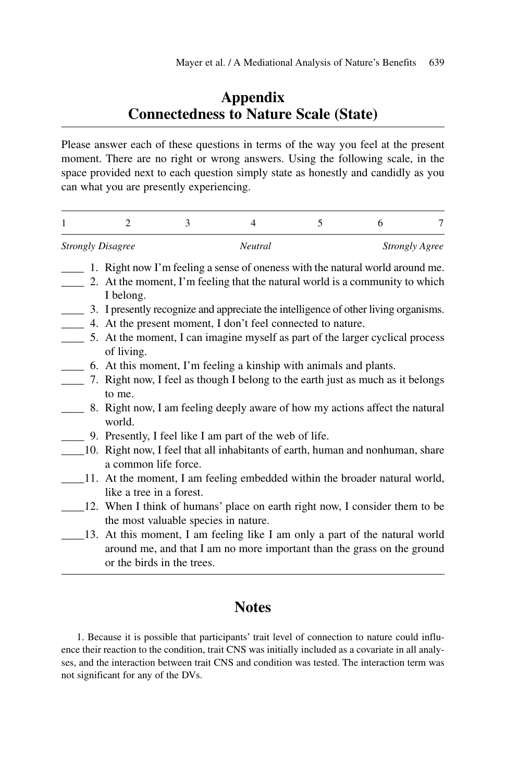## **Appendix Connectedness to Nature Scale (State)**

Please answer each of these questions in terms of the way you feel at the present moment. There are no right or wrong answers. Using the following scale, in the space provided next to each question simply state as honestly and candidly as you can what you are presently experiencing.

| $\mathbf{1}$             | $\overline{c}$           | 3                                    | $\overline{4}$                                                                      | 5 | 6                     | $\overline{7}$ |
|--------------------------|--------------------------|--------------------------------------|-------------------------------------------------------------------------------------|---|-----------------------|----------------|
| <b>Strongly Disagree</b> |                          |                                      | Neutral                                                                             |   | <b>Strongly Agree</b> |                |
|                          |                          |                                      | 1. Right now I'm feeling a sense of oneness with the natural world around me.       |   |                       |                |
|                          |                          |                                      | 2. At the moment, I'm feeling that the natural world is a community to which        |   |                       |                |
|                          | I belong.                |                                      |                                                                                     |   |                       |                |
|                          |                          |                                      | 3. I presently recognize and appreciate the intelligence of other living organisms. |   |                       |                |
|                          |                          |                                      | 4. At the present moment, I don't feel connected to nature.                         |   |                       |                |
|                          |                          |                                      | 5. At the moment, I can imagine myself as part of the larger cyclical process       |   |                       |                |
|                          | of living.               |                                      |                                                                                     |   |                       |                |
|                          |                          |                                      | 6. At this moment, I'm feeling a kinship with animals and plants.                   |   |                       |                |
|                          |                          |                                      | 7. Right now, I feel as though I belong to the earth just as much as it belongs     |   |                       |                |
|                          | to me.                   |                                      |                                                                                     |   |                       |                |
|                          |                          |                                      | 8. Right now, I am feeling deeply aware of how my actions affect the natural        |   |                       |                |
|                          | world.                   |                                      |                                                                                     |   |                       |                |
|                          |                          |                                      | 9. Presently, I feel like I am part of the web of life.                             |   |                       |                |
|                          |                          |                                      | 10. Right now, I feel that all inhabitants of earth, human and nonhuman, share      |   |                       |                |
|                          | a common life force.     |                                      |                                                                                     |   |                       |                |
|                          |                          |                                      | 11. At the moment, I am feeling embedded within the broader natural world,          |   |                       |                |
|                          | like a tree in a forest. |                                      |                                                                                     |   |                       |                |
|                          |                          |                                      | 12. When I think of humans' place on earth right now, I consider them to be         |   |                       |                |
|                          |                          | the most valuable species in nature. |                                                                                     |   |                       |                |
|                          |                          |                                      | 13. At this moment, I am feeling like I am only a part of the natural world         |   |                       |                |
|                          |                          |                                      | around me, and that I am no more important than the grass on the ground             |   |                       |                |
|                          |                          | or the birds in the trees.           |                                                                                     |   |                       |                |

## **Notes**

1. Because it is possible that participants' trait level of connection to nature could influence their reaction to the condition, trait CNS was initially included as a covariate in all analyses, and the interaction between trait CNS and condition was tested. The interaction term was not significant for any of the DVs.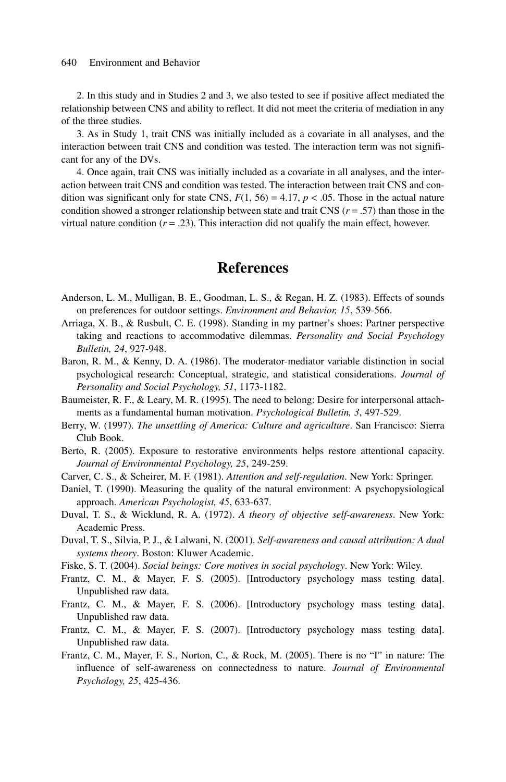2. In this study and in Studies 2 and 3, we also tested to see if positive affect mediated the relationship between CNS and ability to reflect. It did not meet the criteria of mediation in any of the three studies.

3. As in Study 1, trait CNS was initially included as a covariate in all analyses, and the interaction between trait CNS and condition was tested. The interaction term was not significant for any of the DVs.

4. Once again, trait CNS was initially included as a covariate in all analyses, and the interaction between trait CNS and condition was tested. The interaction between trait CNS and condition was significant only for state CNS,  $F(1, 56) = 4.17$ ,  $p < .05$ . Those in the actual nature condition showed a stronger relationship between state and trait CNS (*r* = .57) than those in the virtual nature condition  $(r = .23)$ . This interaction did not qualify the main effect, however.

## **References**

- Anderson, L. M., Mulligan, B. E., Goodman, L. S., & Regan, H. Z. (1983). Effects of sounds on preferences for outdoor settings. *Environment and Behavior, 15*, 539-566.
- Arriaga, X. B., & Rusbult, C. E. (1998). Standing in my partner's shoes: Partner perspective taking and reactions to accommodative dilemmas. *Personality and Social Psychology Bulletin, 24*, 927-948.
- Baron, R. M., & Kenny, D. A. (1986). The moderator-mediator variable distinction in social psychological research: Conceptual, strategic, and statistical considerations. *Journal of Personality and Social Psychology, 51*, 1173-1182.
- Baumeister, R. F., & Leary, M. R. (1995). The need to belong: Desire for interpersonal attachments as a fundamental human motivation. *Psychological Bulletin, 3*, 497-529.
- Berry, W. (1997). *The unsettling of America: Culture and agriculture*. San Francisco: Sierra Club Book.
- Berto, R. (2005). Exposure to restorative environments helps restore attentional capacity. *Journal of Environmental Psychology, 25*, 249-259.
- Carver, C. S., & Scheirer, M. F. (1981). *Attention and self-regulation*. New York: Springer.
- Daniel, T. (1990). Measuring the quality of the natural environment: A psychopysiological approach. *American Psychologist, 45*, 633-637.
- Duval, T. S., & Wicklund, R. A. (1972). *A theory of objective self-awareness*. New York: Academic Press.
- Duval, T. S., Silvia, P. J., & Lalwani, N. (2001). *Self-awareness and causal attribution: A dual systems theory*. Boston: Kluwer Academic.
- Fiske, S. T. (2004). *Social beings: Core motives in social psychology*. New York: Wiley.
- Frantz, C. M., & Mayer, F. S. (2005). [Introductory psychology mass testing data]. Unpublished raw data.
- Frantz, C. M., & Mayer, F. S. (2006). [Introductory psychology mass testing data]. Unpublished raw data.
- Frantz, C. M., & Mayer, F. S. (2007). [Introductory psychology mass testing data]. Unpublished raw data.
- Frantz, C. M., Mayer, F. S., Norton, C., & Rock, M. (2005). There is no "I" in nature: The influence of self-awareness on connectedness to nature. *Journal of Environmental Psychology, 25*, 425-436.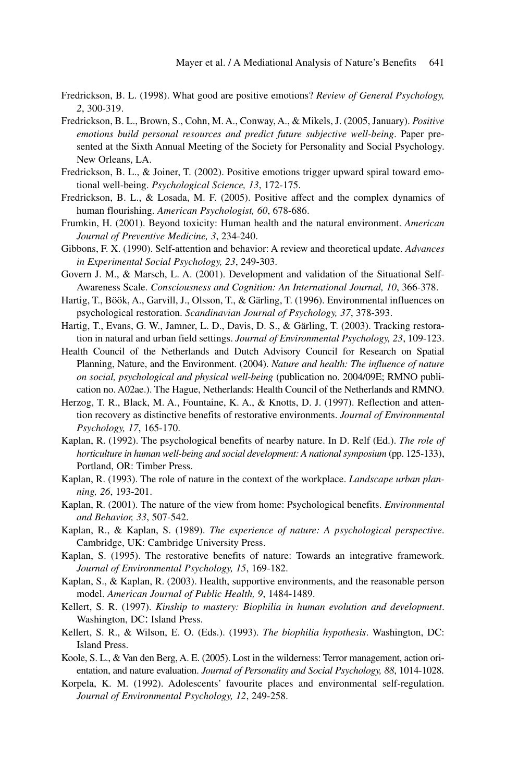- Fredrickson, B. L. (1998). What good are positive emotions? *Review of General Psychology, 2*, 300-319.
- Fredrickson, B. L., Brown, S., Cohn, M. A., Conway, A., & Mikels, J. (2005, January). *Positive emotions build personal resources and predict future subjective well-being*. Paper presented at the Sixth Annual Meeting of the Society for Personality and Social Psychology. New Orleans, LA.
- Fredrickson, B. L., & Joiner, T. (2002). Positive emotions trigger upward spiral toward emotional well-being. *Psychological Science, 13*, 172-175.
- Fredrickson, B. L., & Losada, M. F. (2005). Positive affect and the complex dynamics of human flourishing. *American Psychologist, 60*, 678-686.
- Frumkin, H. (2001). Beyond toxicity: Human health and the natural environment. *American Journal of Preventive Medicine, 3*, 234-240.
- Gibbons, F. X. (1990). Self-attention and behavior: A review and theoretical update. *Advances in Experimental Social Psychology, 23*, 249-303.
- Govern J. M., & Marsch, L. A. (2001). Development and validation of the Situational Self-Awareness Scale. *Consciousness and Cognition: An International Journal, 10*, 366-378.
- Hartig, T., Böök, A., Garvill, J., Olsson, T., & Gärling, T. (1996). Environmental influences on psychological restoration. *Scandinavian Journal of Psychology, 37*, 378-393.
- Hartig, T., Evans, G. W., Jamner, L. D., Davis, D. S., & Gärling, T. (2003). Tracking restoration in natural and urban field settings. *Journal of Environmental Psychology, 23*, 109-123.
- Health Council of the Netherlands and Dutch Advisory Council for Research on Spatial Planning, Nature, and the Environment. (2004). *Nature and health: The influence of nature on social, psychological and physical well-being* (publication no. 2004/09E; RMNO publication no. A02ae.). The Hague, Netherlands: Health Council of the Netherlands and RMNO.
- Herzog, T. R., Black, M. A., Fountaine, K. A., & Knotts, D. J. (1997). Reflection and attention recovery as distinctive benefits of restorative environments. *Journal of Environmental Psychology, 17*, 165-170.
- Kaplan, R. (1992). The psychological benefits of nearby nature. In D. Relf (Ed.). *The role of horticulture in human well-being and social development: A national symposium* (pp. 125-133), Portland, OR: Timber Press.
- Kaplan, R. (1993). The role of nature in the context of the workplace. *Landscape urban planning, 26*, 193-201.
- Kaplan, R. (2001). The nature of the view from home: Psychological benefits. *Environmental and Behavior, 33*, 507-542.
- Kaplan, R., & Kaplan, S. (1989). *The experience of nature: A psychological perspective*. Cambridge, UK: Cambridge University Press.
- Kaplan, S. (1995). The restorative benefits of nature: Towards an integrative framework. *Journal of Environmental Psychology, 15*, 169-182.
- Kaplan, S., & Kaplan, R. (2003). Health, supportive environments, and the reasonable person model. *American Journal of Public Health, 9*, 1484-1489.
- Kellert, S. R. (1997). *Kinship to mastery: Biophilia in human evolution and development*. Washington, DC: Island Press.
- Kellert, S. R., & Wilson, E. O. (Eds.). (1993). *The biophilia hypothesis*. Washington, DC: Island Press.
- Koole, S. L., & Van den Berg, A. E. (2005). Lost in the wilderness: Terror management, action orientation, and nature evaluation. *Journal of Personality and Social Psychology, 88*, 1014-1028.
- Korpela, K. M. (1992). Adolescents' favourite places and environmental self-regulation. *Journal of Environmental Psychology, 12*, 249-258.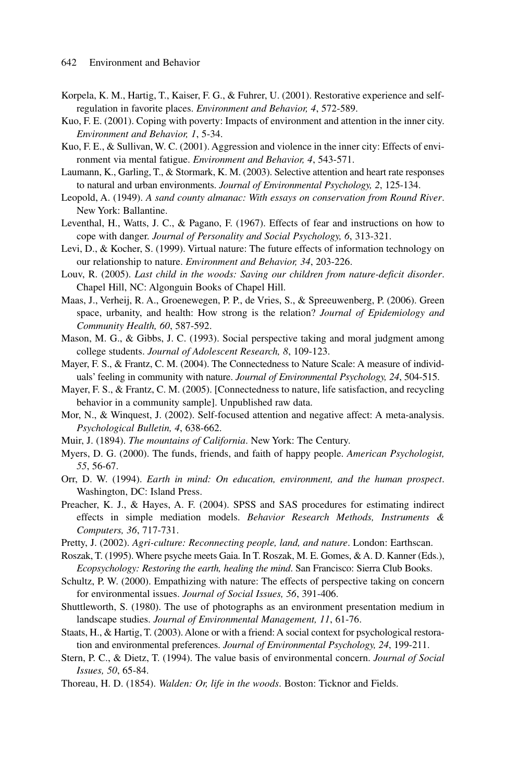- Korpela, K. M., Hartig, T., Kaiser, F. G., & Fuhrer, U. (2001). Restorative experience and selfregulation in favorite places. *Environment and Behavior, 4*, 572-589.
- Kuo, F. E. (2001). Coping with poverty: Impacts of environment and attention in the inner city. *Environment and Behavior, 1*, 5-34.
- Kuo, F. E., & Sullivan, W. C. (2001). Aggression and violence in the inner city: Effects of environment via mental fatigue. *Environment and Behavior, 4*, 543-571.
- Laumann, K., Garling, T., & Stormark, K. M. (2003). Selective attention and heart rate responses to natural and urban environments. *Journal of Environmental Psychology, 2*, 125-134.
- Leopold, A. (1949). *A sand county almanac: With essays on conservation from Round River*. New York: Ballantine.
- Leventhal, H., Watts, J. C., & Pagano, F. (1967). Effects of fear and instructions on how to cope with danger. *Journal of Personality and Social Psychology, 6*, 313-321.
- Levi, D., & Kocher, S. (1999). Virtual nature: The future effects of information technology on our relationship to nature. *Environment and Behavior, 34*, 203-226.
- Louv, R. (2005). *Last child in the woods: Saving our children from nature-deficit disorder*. Chapel Hill, NC: Algonguin Books of Chapel Hill.
- Maas, J., Verheij, R. A., Groenewegen, P. P., de Vries, S., & Spreeuwenberg, P. (2006). Green space, urbanity, and health: How strong is the relation? *Journal of Epidemiology and Community Health, 60*, 587-592.
- Mason, M. G., & Gibbs, J. C. (1993). Social perspective taking and moral judgment among college students. *Journal of Adolescent Research, 8*, 109-123.
- Mayer, F. S., & Frantz, C. M. (2004). The Connectedness to Nature Scale: A measure of individuals' feeling in community with nature. *Journal of Environmental Psychology, 24*, 504-515.
- Mayer, F. S., & Frantz, C. M. (2005). [Connectedness to nature, life satisfaction, and recycling behavior in a community sample]. Unpublished raw data.
- Mor, N., & Winquest, J. (2002). Self-focused attention and negative affect: A meta-analysis. *Psychological Bulletin, 4*, 638-662.
- Muir, J. (1894). *The mountains of California*. New York: The Century.
- Myers, D. G. (2000). The funds, friends, and faith of happy people. *American Psychologist, 55*, 56-67.
- Orr, D. W. (1994). *Earth in mind: On education, environment, and the human prospect*. Washington, DC: Island Press.
- Preacher, K. J., & Hayes, A. F. (2004). SPSS and SAS procedures for estimating indirect effects in simple mediation models. *Behavior Research Methods, Instruments & Computers, 36*, 717-731.
- Pretty, J. (2002). *Agri-culture: Reconnecting people, land, and nature*. London: Earthscan.
- Roszak, T. (1995). Where psyche meets Gaia. In T. Roszak, M. E. Gomes, & A. D. Kanner (Eds.), *Ecopsychology: Restoring the earth, healing the mind*. San Francisco: Sierra Club Books.
- Schultz, P. W. (2000). Empathizing with nature: The effects of perspective taking on concern for environmental issues. *Journal of Social Issues, 56*, 391-406.
- Shuttleworth, S. (1980). The use of photographs as an environment presentation medium in landscape studies. *Journal of Environmental Management, 11*, 61-76.
- Staats, H., & Hartig, T. (2003). Alone or with a friend: A social context for psychological restoration and environmental preferences. *Journal of Environmental Psychology, 24*, 199-211.
- Stern, P. C., & Dietz, T. (1994). The value basis of environmental concern. *Journal of Social Issues, 50*, 65-84.
- Thoreau, H. D. (1854). *Walden: Or, life in the woods*. Boston: Ticknor and Fields.